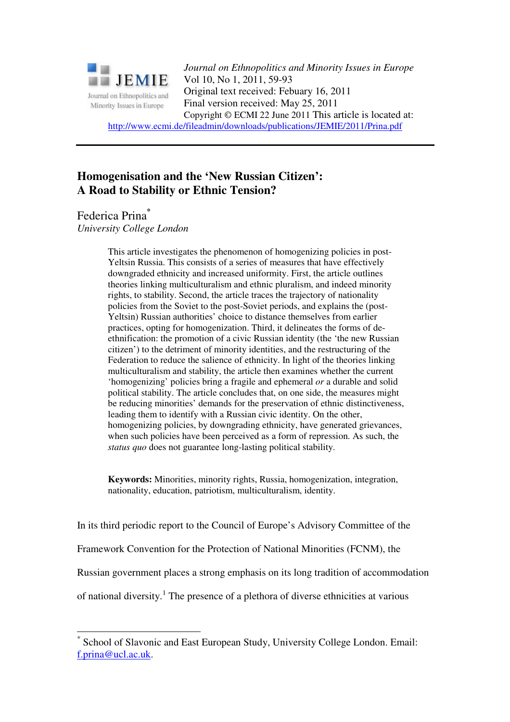

*Journal on Ethnopolitics and Minority Issues in Europe* Vol 10, No 1, 2011, 59-93 Original text received: Febuary 16, 2011 Final version received: May 25, 2011 Copyright © ECMI 22 June 2011 This article is located at: http://www.ecmi.de/fileadmin/downloads/publications/JEMIE/2011/Prina.pdf

# **Homogenisation and the 'New Russian Citizen': A Road to Stability or Ethnic Tension?**

Federica Prina**\*** *University College London* 

> This article investigates the phenomenon of homogenizing policies in post-Yeltsin Russia. This consists of a series of measures that have effectively downgraded ethnicity and increased uniformity. First, the article outlines theories linking multiculturalism and ethnic pluralism, and indeed minority rights, to stability. Second, the article traces the trajectory of nationality policies from the Soviet to the post-Soviet periods, and explains the (post-Yeltsin) Russian authorities' choice to distance themselves from earlier practices, opting for homogenization. Third, it delineates the forms of deethnification: the promotion of a civic Russian identity (the 'the new Russian citizen') to the detriment of minority identities, and the restructuring of the Federation to reduce the salience of ethnicity. In light of the theories linking multiculturalism and stability, the article then examines whether the current 'homogenizing' policies bring a fragile and ephemeral *or* a durable and solid political stability. The article concludes that, on one side, the measures might be reducing minorities' demands for the preservation of ethnic distinctiveness, leading them to identify with a Russian civic identity. On the other, homogenizing policies, by downgrading ethnicity, have generated grievances, when such policies have been perceived as a form of repression. As such, the *status quo* does not guarantee long-lasting political stability.

**Keywords:** Minorities, minority rights, Russia, homogenization, integration, nationality, education, patriotism, multiculturalism, identity.

In its third periodic report to the Council of Europe's Advisory Committee of the

Framework Convention for the Protection of National Minorities (FCNM), the

Russian government places a strong emphasis on its long tradition of accommodation

of national diversity.<sup>1</sup> The presence of a plethora of diverse ethnicities at various

 $\overline{a}$ \* School of Slavonic and East European Study, University College London. Email: f.prina@ucl.ac.uk.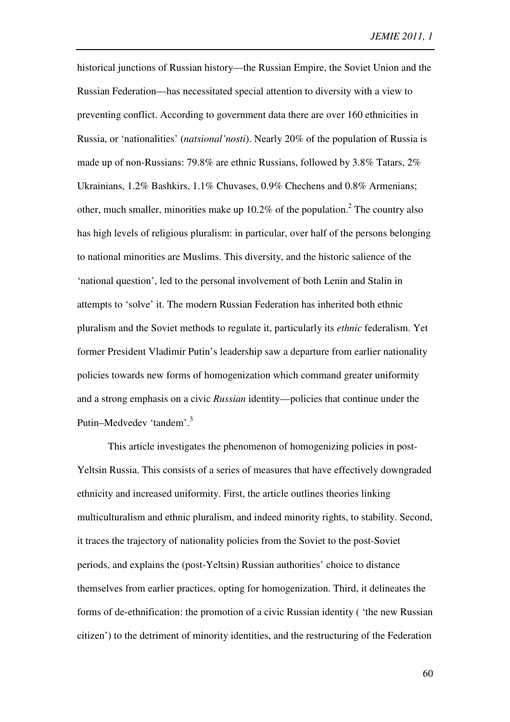historical junctions of Russian history—the Russian Empire, the Soviet Union and the Russian Federation—has necessitated special attention to diversity with a view to preventing conflict. According to government data there are over 160 ethnicities in Russia, or 'nationalities' (*natsional'nosti*). Nearly 20% of the population of Russia is made up of non-Russians: 79.8% are ethnic Russians, followed by 3.8% Tatars, 2% Ukrainians, 1.2% Bashkirs, 1.1% Chuvases, 0.9% Chechens and 0.8% Armenians; other, much smaller, minorities make up 10.2% of the population.<sup>2</sup> The country also has high levels of religious pluralism: in particular, over half of the persons belonging to national minorities are Muslims. This diversity, and the historic salience of the 'national question', led to the personal involvement of both Lenin and Stalin in attempts to 'solve' it. The modern Russian Federation has inherited both ethnic pluralism and the Soviet methods to regulate it, particularly its *ethnic* federalism. Yet former President Vladimir Putin's leadership saw a departure from earlier nationality policies towards new forms of homogenization which command greater uniformity and a strong emphasis on a civic *Russian* identity—policies that continue under the Putin–Medvedev 'tandem'.<sup>3</sup>

This article investigates the phenomenon of homogenizing policies in post-Yeltsin Russia. This consists of a series of measures that have effectively downgraded ethnicity and increased uniformity. First, the article outlines theories linking multiculturalism and ethnic pluralism, and indeed minority rights, to stability. Second, it traces the trajectory of nationality policies from the Soviet to the post-Soviet periods, and explains the (post-Yeltsin) Russian authorities' choice to distance themselves from earlier practices, opting for homogenization. Third, it delineates the forms of de-ethnification: the promotion of a civic Russian identity ( 'the new Russian citizen') to the detriment of minority identities, and the restructuring of the Federation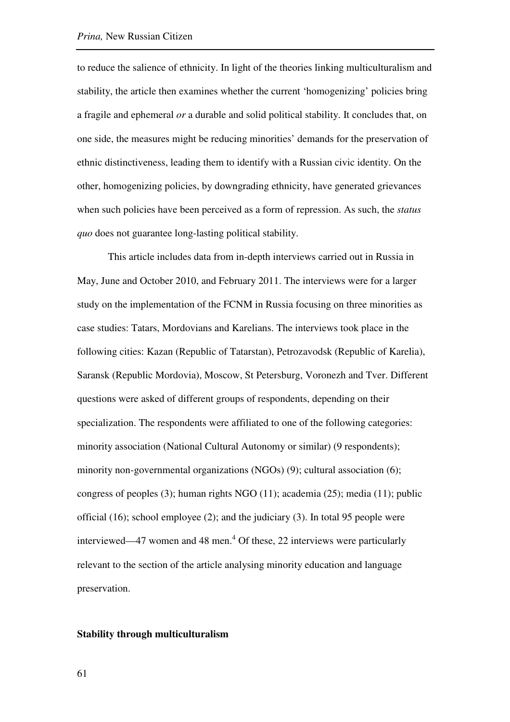to reduce the salience of ethnicity. In light of the theories linking multiculturalism and stability, the article then examines whether the current 'homogenizing' policies bring a fragile and ephemeral *or* a durable and solid political stability. It concludes that, on one side, the measures might be reducing minorities' demands for the preservation of ethnic distinctiveness, leading them to identify with a Russian civic identity. On the other, homogenizing policies, by downgrading ethnicity, have generated grievances when such policies have been perceived as a form of repression. As such, the *status quo* does not guarantee long-lasting political stability.

This article includes data from in-depth interviews carried out in Russia in May, June and October 2010, and February 2011. The interviews were for a larger study on the implementation of the FCNM in Russia focusing on three minorities as case studies: Tatars, Mordovians and Karelians. The interviews took place in the following cities: Kazan (Republic of Tatarstan), Petrozavodsk (Republic of Karelia), Saransk (Republic Mordovia), Moscow, St Petersburg, Voronezh and Tver. Different questions were asked of different groups of respondents, depending on their specialization. The respondents were affiliated to one of the following categories: minority association (National Cultural Autonomy or similar) (9 respondents); minority non-governmental organizations (NGOs) (9); cultural association (6); congress of peoples (3); human rights NGO (11); academia (25); media (11); public official  $(16)$ ; school employee  $(2)$ ; and the judiciary  $(3)$ . In total 95 people were interviewed—47 women and 48 men.<sup>4</sup> Of these, 22 interviews were particularly relevant to the section of the article analysing minority education and language preservation.

# **Stability through multiculturalism**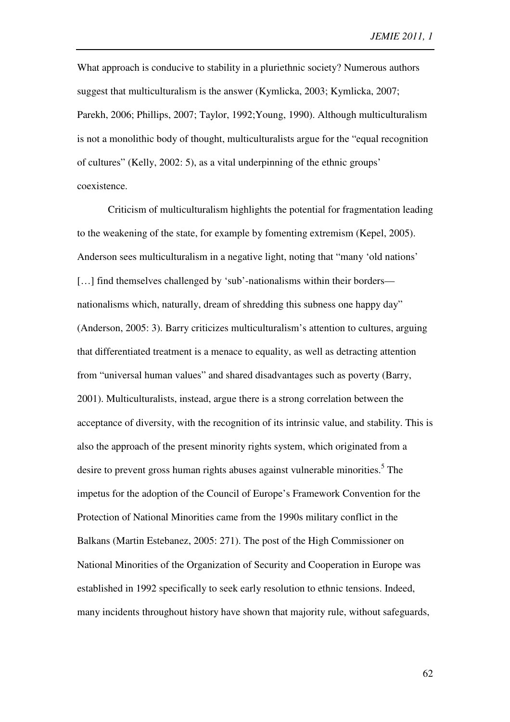What approach is conducive to stability in a pluriethnic society? Numerous authors suggest that multiculturalism is the answer (Kymlicka, 2003; Kymlicka, 2007; Parekh, 2006; Phillips, 2007; Taylor, 1992;Young, 1990). Although multiculturalism is not a monolithic body of thought, multiculturalists argue for the "equal recognition of cultures" (Kelly, 2002: 5), as a vital underpinning of the ethnic groups' coexistence.

Criticism of multiculturalism highlights the potential for fragmentation leading to the weakening of the state, for example by fomenting extremism (Kepel, 2005). Anderson sees multiculturalism in a negative light, noting that "many 'old nations' [...] find themselves challenged by 'sub'-nationalisms within their borders nationalisms which, naturally, dream of shredding this subness one happy day" (Anderson, 2005: 3). Barry criticizes multiculturalism's attention to cultures, arguing that differentiated treatment is a menace to equality, as well as detracting attention from "universal human values" and shared disadvantages such as poverty (Barry, 2001). Multiculturalists, instead, argue there is a strong correlation between the acceptance of diversity, with the recognition of its intrinsic value, and stability. This is also the approach of the present minority rights system, which originated from a desire to prevent gross human rights abuses against vulnerable minorities.<sup>5</sup> The impetus for the adoption of the Council of Europe's Framework Convention for the Protection of National Minorities came from the 1990s military conflict in the Balkans (Martin Estebanez, 2005: 271). The post of the High Commissioner on National Minorities of the Organization of Security and Cooperation in Europe was established in 1992 specifically to seek early resolution to ethnic tensions. Indeed, many incidents throughout history have shown that majority rule, without safeguards,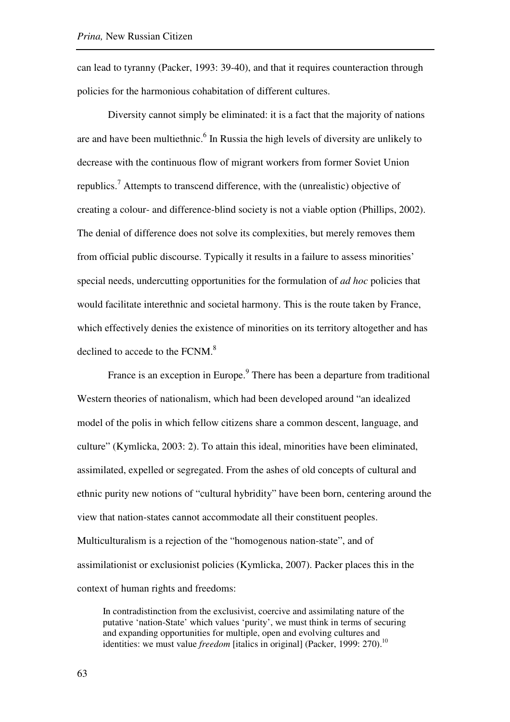can lead to tyranny (Packer, 1993: 39-40), and that it requires counteraction through policies for the harmonious cohabitation of different cultures.

Diversity cannot simply be eliminated: it is a fact that the majority of nations are and have been multiethnic.<sup>6</sup> In Russia the high levels of diversity are unlikely to decrease with the continuous flow of migrant workers from former Soviet Union republics.<sup>7</sup> Attempts to transcend difference, with the (unrealistic) objective of creating a colour- and difference-blind society is not a viable option (Phillips, 2002). The denial of difference does not solve its complexities, but merely removes them from official public discourse. Typically it results in a failure to assess minorities' special needs, undercutting opportunities for the formulation of *ad hoc* policies that would facilitate interethnic and societal harmony. This is the route taken by France, which effectively denies the existence of minorities on its territory altogether and has declined to accede to the FCNM.<sup>8</sup>

France is an exception in Europe.<sup>9</sup> There has been a departure from traditional Western theories of nationalism, which had been developed around "an idealized model of the polis in which fellow citizens share a common descent, language, and culture" (Kymlicka, 2003: 2). To attain this ideal, minorities have been eliminated, assimilated, expelled or segregated. From the ashes of old concepts of cultural and ethnic purity new notions of "cultural hybridity" have been born, centering around the view that nation-states cannot accommodate all their constituent peoples. Multiculturalism is a rejection of the "homogenous nation-state", and of assimilationist or exclusionist policies (Kymlicka, 2007). Packer places this in the context of human rights and freedoms:

In contradistinction from the exclusivist, coercive and assimilating nature of the putative 'nation-State' which values 'purity', we must think in terms of securing and expanding opportunities for multiple, open and evolving cultures and identities: we must value *freedom* [italics in original] (Packer, 1999: 270).<sup>10</sup>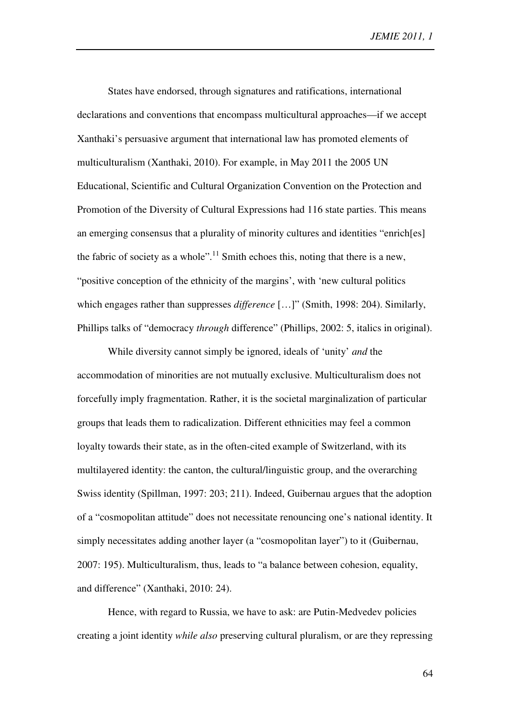*JEMIE 2011, 1*

States have endorsed, through signatures and ratifications, international declarations and conventions that encompass multicultural approaches—if we accept Xanthaki's persuasive argument that international law has promoted elements of multiculturalism (Xanthaki, 2010). For example, in May 2011 the 2005 UN Educational, Scientific and Cultural Organization Convention on the Protection and Promotion of the Diversity of Cultural Expressions had 116 state parties. This means an emerging consensus that a plurality of minority cultures and identities "enrich[es] the fabric of society as a whole".<sup>11</sup> Smith echoes this, noting that there is a new, "positive conception of the ethnicity of the margins', with 'new cultural politics which engages rather than suppresses *difference* […]" (Smith, 1998: 204). Similarly, Phillips talks of "democracy *through* difference" (Phillips, 2002: 5, italics in original).

While diversity cannot simply be ignored, ideals of 'unity' *and* the accommodation of minorities are not mutually exclusive. Multiculturalism does not forcefully imply fragmentation. Rather, it is the societal marginalization of particular groups that leads them to radicalization. Different ethnicities may feel a common loyalty towards their state, as in the often-cited example of Switzerland, with its multilayered identity: the canton, the cultural/linguistic group, and the overarching Swiss identity (Spillman, 1997: 203; 211). Indeed, Guibernau argues that the adoption of a "cosmopolitan attitude" does not necessitate renouncing one's national identity. It simply necessitates adding another layer (a "cosmopolitan layer") to it (Guibernau, 2007: 195). Multiculturalism, thus, leads to "a balance between cohesion, equality, and difference" (Xanthaki, 2010: 24).

Hence, with regard to Russia, we have to ask: are Putin-Medvedev policies creating a joint identity *while also* preserving cultural pluralism, or are they repressing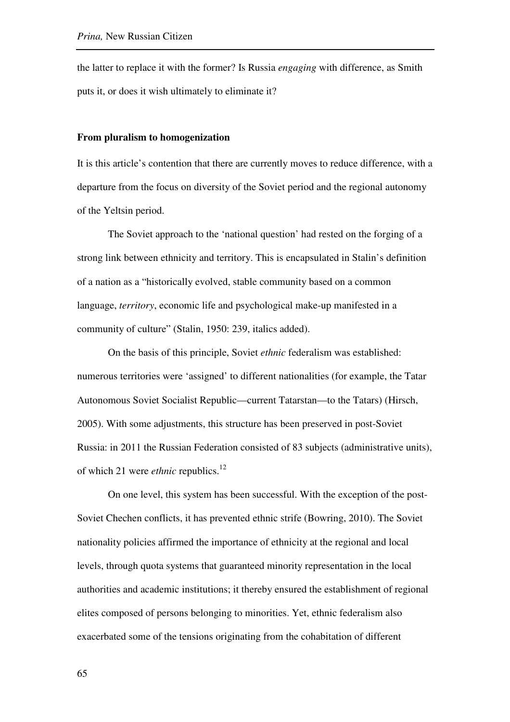the latter to replace it with the former? Is Russia *engaging* with difference, as Smith puts it, or does it wish ultimately to eliminate it?

#### **From pluralism to homogenization**

It is this article's contention that there are currently moves to reduce difference, with a departure from the focus on diversity of the Soviet period and the regional autonomy of the Yeltsin period.

The Soviet approach to the 'national question' had rested on the forging of a strong link between ethnicity and territory. This is encapsulated in Stalin's definition of a nation as a "historically evolved, stable community based on a common language, *territory*, economic life and psychological make-up manifested in a community of culture" (Stalin, 1950: 239, italics added).

On the basis of this principle, Soviet *ethnic* federalism was established: numerous territories were 'assigned' to different nationalities (for example, the Tatar Autonomous Soviet Socialist Republic—current Tatarstan—to the Tatars) (Hirsch, 2005). With some adjustments, this structure has been preserved in post-Soviet Russia: in 2011 the Russian Federation consisted of 83 subjects (administrative units), of which 21 were *ethnic* republics.<sup>12</sup>

On one level, this system has been successful. With the exception of the post-Soviet Chechen conflicts, it has prevented ethnic strife (Bowring, 2010). The Soviet nationality policies affirmed the importance of ethnicity at the regional and local levels, through quota systems that guaranteed minority representation in the local authorities and academic institutions; it thereby ensured the establishment of regional elites composed of persons belonging to minorities. Yet, ethnic federalism also exacerbated some of the tensions originating from the cohabitation of different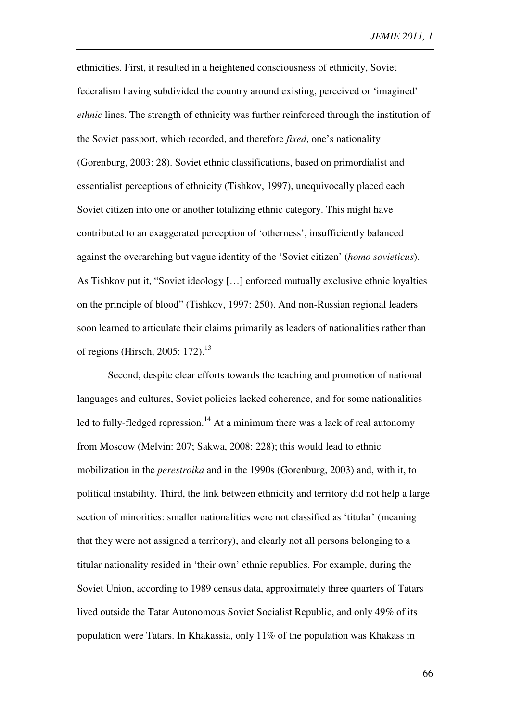ethnicities. First, it resulted in a heightened consciousness of ethnicity, Soviet federalism having subdivided the country around existing, perceived or 'imagined' *ethnic* lines. The strength of ethnicity was further reinforced through the institution of the Soviet passport, which recorded, and therefore *fixed*, one's nationality (Gorenburg, 2003: 28). Soviet ethnic classifications, based on primordialist and essentialist perceptions of ethnicity (Tishkov, 1997), unequivocally placed each Soviet citizen into one or another totalizing ethnic category. This might have contributed to an exaggerated perception of 'otherness', insufficiently balanced against the overarching but vague identity of the 'Soviet citizen' (*homo sovieticus*). As Tishkov put it, "Soviet ideology […] enforced mutually exclusive ethnic loyalties on the principle of blood" (Tishkov, 1997: 250). And non-Russian regional leaders soon learned to articulate their claims primarily as leaders of nationalities rather than of regions (Hirsch, 2005: 172).<sup>13</sup>

Second, despite clear efforts towards the teaching and promotion of national languages and cultures, Soviet policies lacked coherence, and for some nationalities led to fully-fledged repression.<sup>14</sup> At a minimum there was a lack of real autonomy from Moscow (Melvin: 207; Sakwa, 2008: 228); this would lead to ethnic mobilization in the *perestroika* and in the 1990s (Gorenburg, 2003) and, with it, to political instability. Third, the link between ethnicity and territory did not help a large section of minorities: smaller nationalities were not classified as 'titular' (meaning that they were not assigned a territory), and clearly not all persons belonging to a titular nationality resided in 'their own' ethnic republics. For example, during the Soviet Union, according to 1989 census data, approximately three quarters of Tatars lived outside the Tatar Autonomous Soviet Socialist Republic, and only 49% of its population were Tatars. In Khakassia, only 11% of the population was Khakass in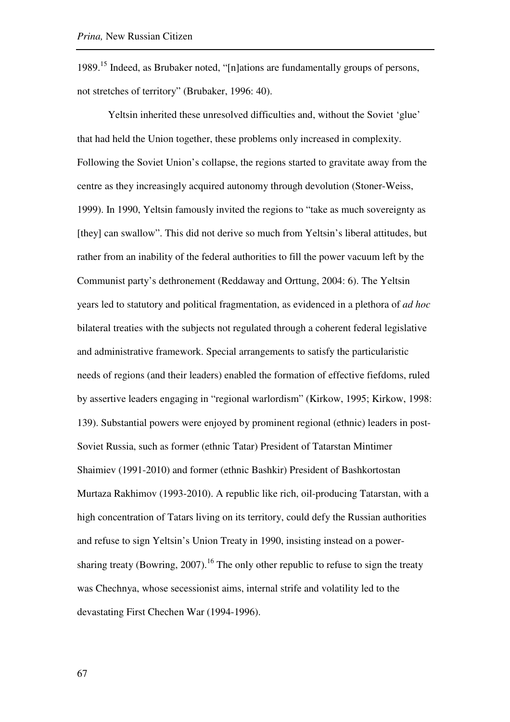1989.<sup>15</sup> Indeed, as Brubaker noted, "[n]ations are fundamentally groups of persons, not stretches of territory" (Brubaker, 1996: 40).

Yeltsin inherited these unresolved difficulties and, without the Soviet 'glue' that had held the Union together, these problems only increased in complexity. Following the Soviet Union's collapse, the regions started to gravitate away from the centre as they increasingly acquired autonomy through devolution (Stoner-Weiss, 1999). In 1990, Yeltsin famously invited the regions to "take as much sovereignty as [they] can swallow". This did not derive so much from Yeltsin's liberal attitudes, but rather from an inability of the federal authorities to fill the power vacuum left by the Communist party's dethronement (Reddaway and Orttung, 2004: 6). The Yeltsin years led to statutory and political fragmentation, as evidenced in a plethora of *ad hoc* bilateral treaties with the subjects not regulated through a coherent federal legislative and administrative framework. Special arrangements to satisfy the particularistic needs of regions (and their leaders) enabled the formation of effective fiefdoms, ruled by assertive leaders engaging in "regional warlordism" (Kirkow, 1995; Kirkow, 1998: 139). Substantial powers were enjoyed by prominent regional (ethnic) leaders in post-Soviet Russia, such as former (ethnic Tatar) President of Tatarstan Mintimer Shaimiev (1991-2010) and former (ethnic Bashkir) President of Bashkortostan Murtaza Rakhimov (1993-2010). A republic like rich, oil-producing Tatarstan, with a high concentration of Tatars living on its territory, could defy the Russian authorities and refuse to sign Yeltsin's Union Treaty in 1990, insisting instead on a powersharing treaty (Bowring, 2007).<sup>16</sup> The only other republic to refuse to sign the treaty was Chechnya, whose secessionist aims, internal strife and volatility led to the devastating First Chechen War (1994-1996).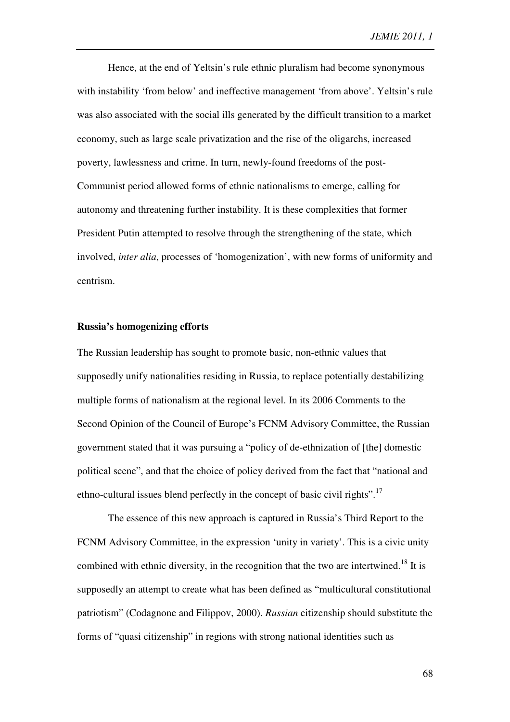Hence, at the end of Yeltsin's rule ethnic pluralism had become synonymous with instability 'from below' and ineffective management 'from above'. Yeltsin's rule was also associated with the social ills generated by the difficult transition to a market economy, such as large scale privatization and the rise of the oligarchs, increased poverty, lawlessness and crime. In turn, newly-found freedoms of the post-Communist period allowed forms of ethnic nationalisms to emerge, calling for autonomy and threatening further instability. It is these complexities that former President Putin attempted to resolve through the strengthening of the state, which involved, *inter alia*, processes of 'homogenization', with new forms of uniformity and centrism.

# **Russia's homogenizing efforts**

The Russian leadership has sought to promote basic, non-ethnic values that supposedly unify nationalities residing in Russia, to replace potentially destabilizing multiple forms of nationalism at the regional level. In its 2006 Comments to the Second Opinion of the Council of Europe's FCNM Advisory Committee, the Russian government stated that it was pursuing a "policy of de-ethnization of [the] domestic political scene", and that the choice of policy derived from the fact that "national and ethno-cultural issues blend perfectly in the concept of basic civil rights".<sup>17</sup>

The essence of this new approach is captured in Russia's Third Report to the FCNM Advisory Committee, in the expression 'unity in variety'. This is a civic unity combined with ethnic diversity, in the recognition that the two are intertwined.<sup>18</sup> It is supposedly an attempt to create what has been defined as "multicultural constitutional patriotism" (Codagnone and Filippov, 2000). *Russian* citizenship should substitute the forms of "quasi citizenship" in regions with strong national identities such as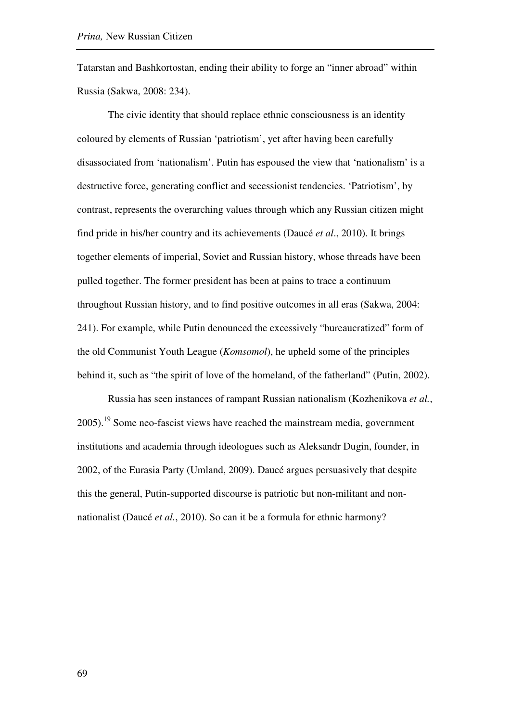Tatarstan and Bashkortostan, ending their ability to forge an "inner abroad" within Russia (Sakwa, 2008: 234).

The civic identity that should replace ethnic consciousness is an identity coloured by elements of Russian 'patriotism', yet after having been carefully disassociated from 'nationalism'. Putin has espoused the view that 'nationalism' is a destructive force, generating conflict and secessionist tendencies. 'Patriotism', by contrast, represents the overarching values through which any Russian citizen might find pride in his/her country and its achievements (Daucé *et al*., 2010). It brings together elements of imperial, Soviet and Russian history, whose threads have been pulled together. The former president has been at pains to trace a continuum throughout Russian history, and to find positive outcomes in all eras (Sakwa, 2004: 241). For example, while Putin denounced the excessively "bureaucratized" form of the old Communist Youth League (*Komsomol*), he upheld some of the principles behind it, such as "the spirit of love of the homeland, of the fatherland" (Putin, 2002).

Russia has seen instances of rampant Russian nationalism (Kozhenikova *et al.*,  $2005$ .<sup>19</sup> Some neo-fascist views have reached the mainstream media, government institutions and academia through ideologues such as Aleksandr Dugin, founder, in 2002, of the Eurasia Party (Umland, 2009). Daucé argues persuasively that despite this the general, Putin-supported discourse is patriotic but non-militant and nonnationalist (Daucé *et al.*, 2010). So can it be a formula for ethnic harmony?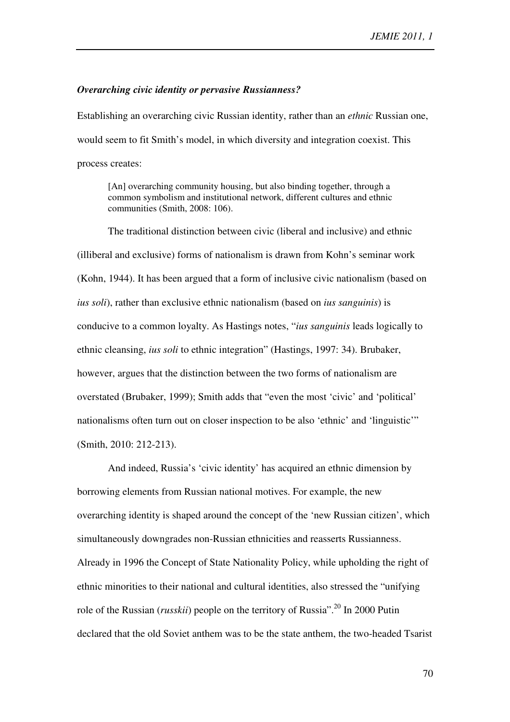# *Overarching civic identity or pervasive Russianness?*

Establishing an overarching civic Russian identity, rather than an *ethnic* Russian one, would seem to fit Smith's model, in which diversity and integration coexist. This process creates:

[An] overarching community housing, but also binding together, through a common symbolism and institutional network, different cultures and ethnic communities (Smith, 2008: 106).

The traditional distinction between civic (liberal and inclusive) and ethnic (illiberal and exclusive) forms of nationalism is drawn from Kohn's seminar work (Kohn, 1944). It has been argued that a form of inclusive civic nationalism (based on *ius soli*), rather than exclusive ethnic nationalism (based on *ius sanguinis*) is conducive to a common loyalty. As Hastings notes, "*ius sanguinis* leads logically to ethnic cleansing, *ius soli* to ethnic integration" (Hastings, 1997: 34). Brubaker, however, argues that the distinction between the two forms of nationalism are overstated (Brubaker, 1999); Smith adds that "even the most 'civic' and 'political' nationalisms often turn out on closer inspection to be also 'ethnic' and 'linguistic'" (Smith, 2010: 212-213).

And indeed, Russia's 'civic identity' has acquired an ethnic dimension by borrowing elements from Russian national motives. For example, the new overarching identity is shaped around the concept of the 'new Russian citizen', which simultaneously downgrades non-Russian ethnicities and reasserts Russianness. Already in 1996 the Concept of State Nationality Policy, while upholding the right of ethnic minorities to their national and cultural identities, also stressed the "unifying role of the Russian (*russkii*) people on the territory of Russia".<sup>20</sup> In 2000 Putin declared that the old Soviet anthem was to be the state anthem, the two-headed Tsarist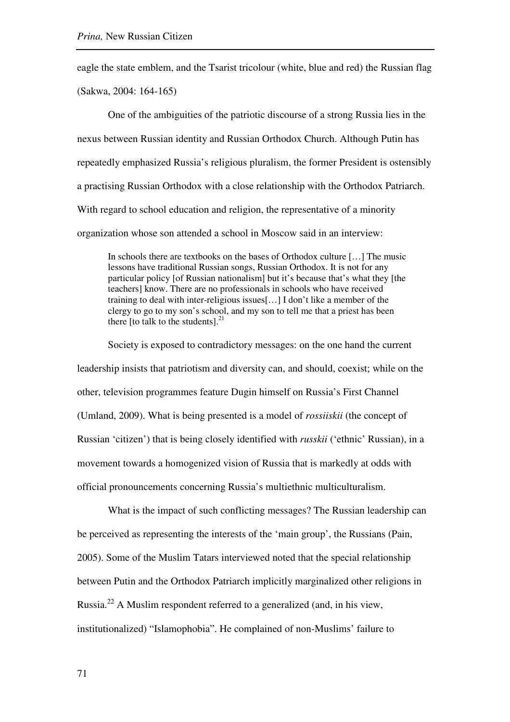eagle the state emblem, and the Tsarist tricolour (white, blue and red) the Russian flag (Sakwa, 2004: 164-165)

One of the ambiguities of the patriotic discourse of a strong Russia lies in the nexus between Russian identity and Russian Orthodox Church. Although Putin has repeatedly emphasized Russia's religious pluralism, the former President is ostensibly a practising Russian Orthodox with a close relationship with the Orthodox Patriarch. With regard to school education and religion, the representative of a minority organization whose son attended a school in Moscow said in an interview:

In schools there are textbooks on the bases of Orthodox culture […] The music lessons have traditional Russian songs, Russian Orthodox. It is not for any particular policy [of Russian nationalism] but it's because that's what they [the teachers] know. There are no professionals in schools who have received training to deal with inter-religious issues[…] I don't like a member of the clergy to go to my son's school, and my son to tell me that a priest has been there [to talk to the students]. $^{21}$ 

Society is exposed to contradictory messages: on the one hand the current leadership insists that patriotism and diversity can, and should, coexist; while on the other, television programmes feature Dugin himself on Russia's First Channel (Umland, 2009). What is being presented is a model of *rossiiskii* (the concept of Russian 'citizen') that is being closely identified with *russkii* ('ethnic' Russian), in a movement towards a homogenized vision of Russia that is markedly at odds with official pronouncements concerning Russia's multiethnic multiculturalism.

What is the impact of such conflicting messages? The Russian leadership can be perceived as representing the interests of the 'main group', the Russians (Pain, 2005). Some of the Muslim Tatars interviewed noted that the special relationship between Putin and the Orthodox Patriarch implicitly marginalized other religions in Russia.<sup>22</sup> A Muslim respondent referred to a generalized (and, in his view, institutionalized) "Islamophobia". He complained of non-Muslims' failure to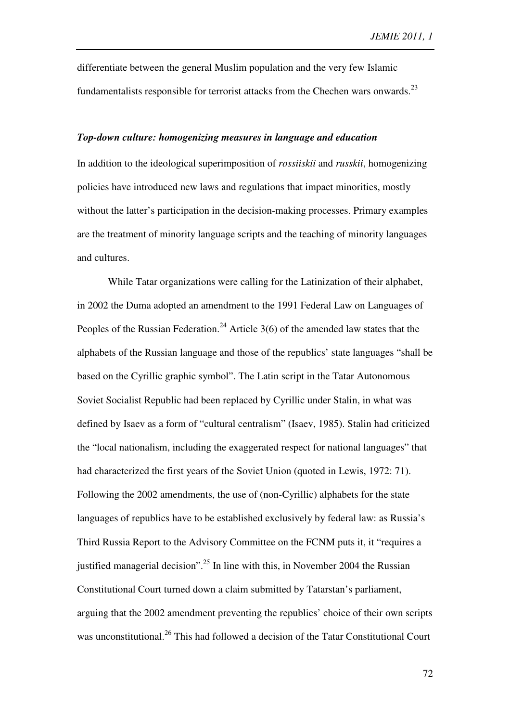differentiate between the general Muslim population and the very few Islamic fundamentalists responsible for terrorist attacks from the Chechen wars onwards. $^{23}$ 

# *Top-down culture: homogenizing measures in language and education*

In addition to the ideological superimposition of *rossiiskii* and *russkii*, homogenizing policies have introduced new laws and regulations that impact minorities, mostly without the latter's participation in the decision-making processes. Primary examples are the treatment of minority language scripts and the teaching of minority languages and cultures.

While Tatar organizations were calling for the Latinization of their alphabet, in 2002 the Duma adopted an amendment to the 1991 Federal Law on Languages of Peoples of the Russian Federation.<sup>24</sup> Article 3(6) of the amended law states that the alphabets of the Russian language and those of the republics' state languages "shall be based on the Cyrillic graphic symbol". The Latin script in the Tatar Autonomous Soviet Socialist Republic had been replaced by Cyrillic under Stalin, in what was defined by Isaev as a form of "cultural centralism" (Isaev, 1985). Stalin had criticized the "local nationalism, including the exaggerated respect for national languages" that had characterized the first years of the Soviet Union (quoted in Lewis, 1972: 71). Following the 2002 amendments, the use of (non-Cyrillic) alphabets for the state languages of republics have to be established exclusively by federal law: as Russia's Third Russia Report to the Advisory Committee on the FCNM puts it, it "requires a justified managerial decision".<sup>25</sup> In line with this, in November 2004 the Russian Constitutional Court turned down a claim submitted by Tatarstan's parliament, arguing that the 2002 amendment preventing the republics' choice of their own scripts was unconstitutional.<sup>26</sup> This had followed a decision of the Tatar Constitutional Court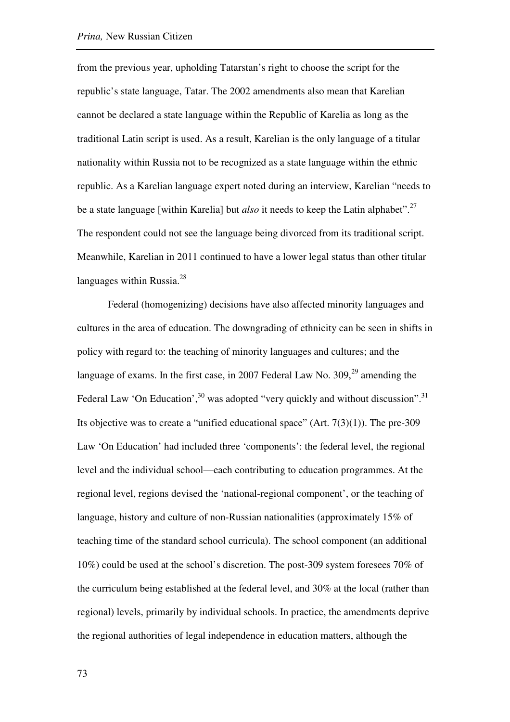from the previous year, upholding Tatarstan's right to choose the script for the republic's state language, Tatar. The 2002 amendments also mean that Karelian cannot be declared a state language within the Republic of Karelia as long as the traditional Latin script is used. As a result, Karelian is the only language of a titular nationality within Russia not to be recognized as a state language within the ethnic republic. As a Karelian language expert noted during an interview, Karelian "needs to be a state language [within Karelia] but *also* it needs to keep the Latin alphabet".<sup>27</sup> The respondent could not see the language being divorced from its traditional script. Meanwhile, Karelian in 2011 continued to have a lower legal status than other titular languages within Russia.<sup>28</sup>

Federal (homogenizing) decisions have also affected minority languages and cultures in the area of education. The downgrading of ethnicity can be seen in shifts in policy with regard to: the teaching of minority languages and cultures; and the language of exams. In the first case, in 2007 Federal Law No.  $309$ <sup>29</sup> amending the Federal Law 'On Education',  $30$  was adopted "very quickly and without discussion".  $31$ Its objective was to create a "unified educational space"  $(Art. 7(3)(1))$ . The pre-309 Law 'On Education' had included three 'components': the federal level, the regional level and the individual school—each contributing to education programmes. At the regional level, regions devised the 'national-regional component', or the teaching of language, history and culture of non-Russian nationalities (approximately 15% of teaching time of the standard school curricula). The school component (an additional 10%) could be used at the school's discretion. The post-309 system foresees 70% of the curriculum being established at the federal level, and 30% at the local (rather than regional) levels, primarily by individual schools. In practice, the amendments deprive the regional authorities of legal independence in education matters, although the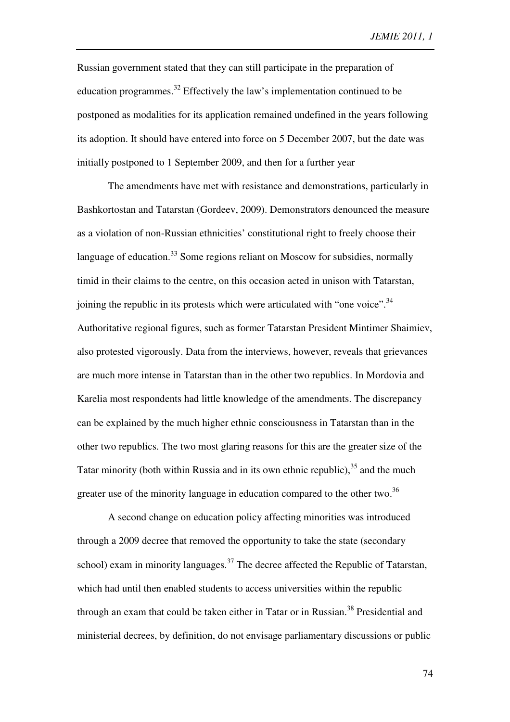Russian government stated that they can still participate in the preparation of education programmes.<sup>32</sup> Effectively the law's implementation continued to be postponed as modalities for its application remained undefined in the years following its adoption. It should have entered into force on 5 December 2007, but the date was initially postponed to 1 September 2009, and then for a further year

The amendments have met with resistance and demonstrations, particularly in Bashkortostan and Tatarstan (Gordeev, 2009). Demonstrators denounced the measure as a violation of non-Russian ethnicities' constitutional right to freely choose their language of education.<sup>33</sup> Some regions reliant on Moscow for subsidies, normally timid in their claims to the centre, on this occasion acted in unison with Tatarstan, joining the republic in its protests which were articulated with "one voice".<sup>34</sup> Authoritative regional figures, such as former Tatarstan President Mintimer Shaimiev, also protested vigorously. Data from the interviews, however, reveals that grievances are much more intense in Tatarstan than in the other two republics. In Mordovia and Karelia most respondents had little knowledge of the amendments. The discrepancy can be explained by the much higher ethnic consciousness in Tatarstan than in the other two republics. The two most glaring reasons for this are the greater size of the Tatar minority (both within Russia and in its own ethnic republic),  $3<sup>5</sup>$  and the much greater use of the minority language in education compared to the other two.<sup>36</sup>

A second change on education policy affecting minorities was introduced through a 2009 decree that removed the opportunity to take the state (secondary school) exam in minority languages.<sup>37</sup> The decree affected the Republic of Tatarstan, which had until then enabled students to access universities within the republic through an exam that could be taken either in Tatar or in Russian.<sup>38</sup> Presidential and ministerial decrees, by definition, do not envisage parliamentary discussions or public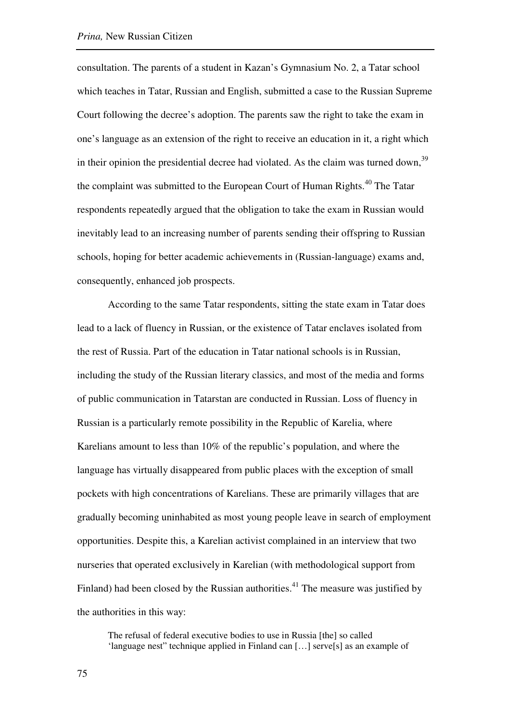consultation. The parents of a student in Kazan's Gymnasium No. 2, a Tatar school which teaches in Tatar, Russian and English, submitted a case to the Russian Supreme Court following the decree's adoption. The parents saw the right to take the exam in one's language as an extension of the right to receive an education in it, a right which in their opinion the presidential decree had violated. As the claim was turned down,  $39$ the complaint was submitted to the European Court of Human Rights.<sup>40</sup> The Tatar respondents repeatedly argued that the obligation to take the exam in Russian would inevitably lead to an increasing number of parents sending their offspring to Russian schools, hoping for better academic achievements in (Russian-language) exams and, consequently, enhanced job prospects.

According to the same Tatar respondents, sitting the state exam in Tatar does lead to a lack of fluency in Russian, or the existence of Tatar enclaves isolated from the rest of Russia. Part of the education in Tatar national schools is in Russian, including the study of the Russian literary classics, and most of the media and forms of public communication in Tatarstan are conducted in Russian. Loss of fluency in Russian is a particularly remote possibility in the Republic of Karelia, where Karelians amount to less than 10% of the republic's population, and where the language has virtually disappeared from public places with the exception of small pockets with high concentrations of Karelians. These are primarily villages that are gradually becoming uninhabited as most young people leave in search of employment opportunities. Despite this, a Karelian activist complained in an interview that two nurseries that operated exclusively in Karelian (with methodological support from Finland) had been closed by the Russian authorities.<sup>41</sup> The measure was justified by the authorities in this way:

The refusal of federal executive bodies to use in Russia [the] so called 'language nest" technique applied in Finland can […] serve[s] as an example of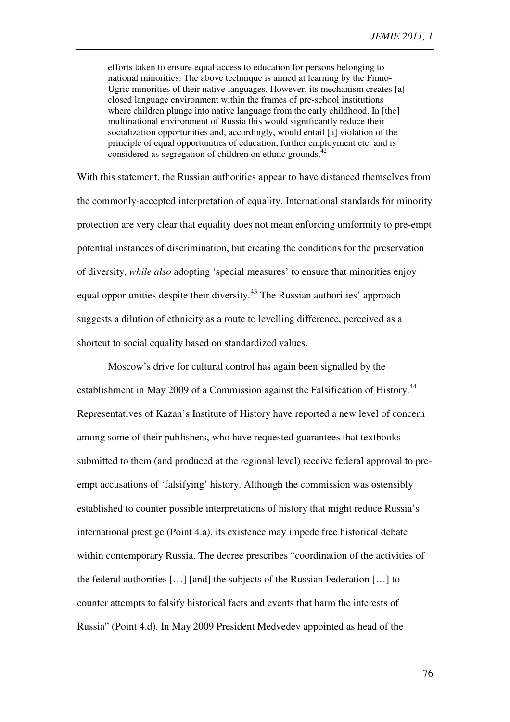efforts taken to ensure equal access to education for persons belonging to national minorities. The above technique is aimed at learning by the Finno-Ugric minorities of their native languages. However, its mechanism creates [a] closed language environment within the frames of pre-school institutions where children plunge into native language from the early childhood. In [the] multinational environment of Russia this would significantly reduce their socialization opportunities and, accordingly, would entail [a] violation of the principle of equal opportunities of education, further employment etc. and is considered as segregation of children on ethnic grounds. $^{42}$ 

With this statement, the Russian authorities appear to have distanced themselves from the commonly-accepted interpretation of equality. International standards for minority protection are very clear that equality does not mean enforcing uniformity to pre-empt potential instances of discrimination, but creating the conditions for the preservation of diversity, *while also* adopting 'special measures' to ensure that minorities enjoy equal opportunities despite their diversity.<sup>43</sup> The Russian authorities' approach suggests a dilution of ethnicity as a route to levelling difference, perceived as a shortcut to social equality based on standardized values.

Moscow's drive for cultural control has again been signalled by the establishment in May 2009 of a Commission against the Falsification of History.<sup>44</sup> Representatives of Kazan's Institute of History have reported a new level of concern among some of their publishers, who have requested guarantees that textbooks submitted to them (and produced at the regional level) receive federal approval to preempt accusations of 'falsifying' history. Although the commission was ostensibly established to counter possible interpretations of history that might reduce Russia's international prestige (Point 4.a), its existence may impede free historical debate within contemporary Russia. The decree prescribes "coordination of the activities of the federal authorities […] [and] the subjects of the Russian Federation […] to counter attempts to falsify historical facts and events that harm the interests of Russia" (Point 4.d). In May 2009 President Medvedev appointed as head of the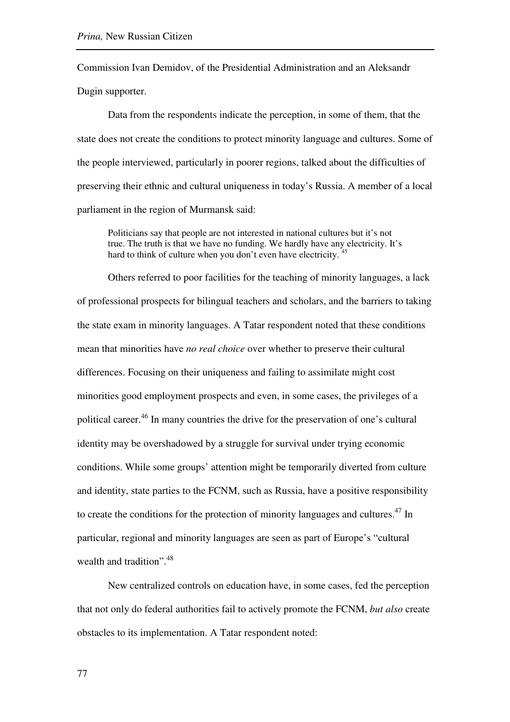Commission Ivan Demidov, of the Presidential Administration and an Aleksandr Dugin supporter.

Data from the respondents indicate the perception, in some of them, that the state does not create the conditions to protect minority language and cultures. Some of the people interviewed, particularly in poorer regions, talked about the difficulties of preserving their ethnic and cultural uniqueness in today's Russia. A member of a local parliament in the region of Murmansk said:

Politicians say that people are not interested in national cultures but it's not true. The truth is that we have no funding. We hardly have any electricity. It's hard to think of culture when you don't even have electricity.<sup>45</sup>

Others referred to poor facilities for the teaching of minority languages, a lack of professional prospects for bilingual teachers and scholars, and the barriers to taking the state exam in minority languages. A Tatar respondent noted that these conditions mean that minorities have *no real choice* over whether to preserve their cultural differences. Focusing on their uniqueness and failing to assimilate might cost minorities good employment prospects and even, in some cases, the privileges of a political career.<sup>46</sup> In many countries the drive for the preservation of one's cultural identity may be overshadowed by a struggle for survival under trying economic conditions. While some groups' attention might be temporarily diverted from culture and identity, state parties to the FCNM, such as Russia, have a positive responsibility to create the conditions for the protection of minority languages and cultures.<sup>47</sup> In particular, regional and minority languages are seen as part of Europe's "cultural wealth and tradition".<sup>48</sup>

New centralized controls on education have, in some cases, fed the perception that not only do federal authorities fail to actively promote the FCNM, *but also* create obstacles to its implementation. A Tatar respondent noted: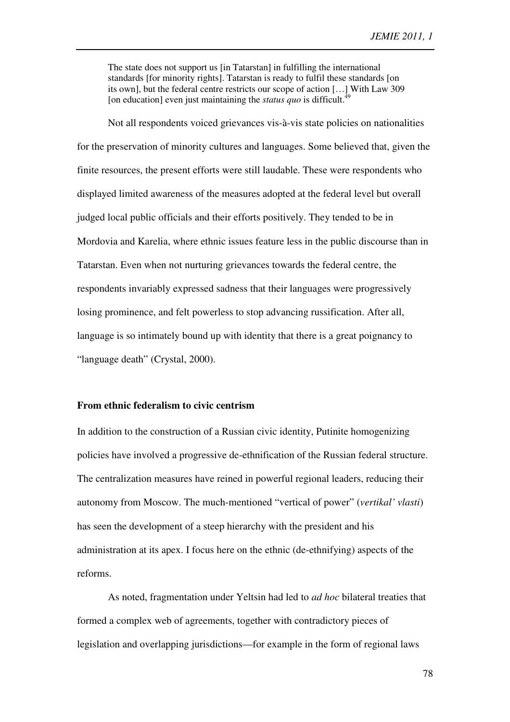The state does not support us [in Tatarstan] in fulfilling the international standards [for minority rights]. Tatarstan is ready to fulfil these standards [on its own], but the federal centre restricts our scope of action […] With Law 309 [on education] even just maintaining the *status quo* is difficult.<sup>49</sup>

Not all respondents voiced grievances vis-à-vis state policies on nationalities for the preservation of minority cultures and languages. Some believed that, given the finite resources, the present efforts were still laudable. These were respondents who displayed limited awareness of the measures adopted at the federal level but overall judged local public officials and their efforts positively. They tended to be in Mordovia and Karelia, where ethnic issues feature less in the public discourse than in Tatarstan. Even when not nurturing grievances towards the federal centre, the respondents invariably expressed sadness that their languages were progressively losing prominence, and felt powerless to stop advancing russification. After all, language is so intimately bound up with identity that there is a great poignancy to "language death" (Crystal, 2000).

# **From ethnic federalism to civic centrism**

In addition to the construction of a Russian civic identity, Putinite homogenizing policies have involved a progressive de-ethnification of the Russian federal structure. The centralization measures have reined in powerful regional leaders, reducing their autonomy from Moscow. The much-mentioned "vertical of power" (*vertikal' vlasti*) has seen the development of a steep hierarchy with the president and his administration at its apex. I focus here on the ethnic (de-ethnifying) aspects of the reforms.

As noted, fragmentation under Yeltsin had led to *ad hoc* bilateral treaties that formed a complex web of agreements, together with contradictory pieces of legislation and overlapping jurisdictions—for example in the form of regional laws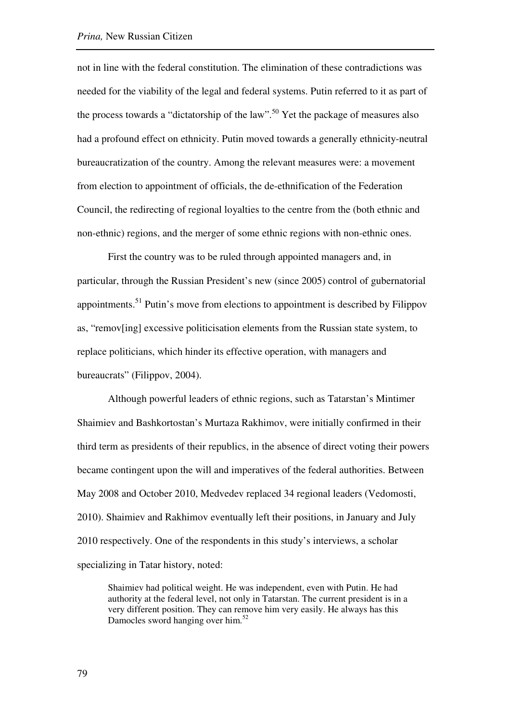not in line with the federal constitution. The elimination of these contradictions was needed for the viability of the legal and federal systems. Putin referred to it as part of the process towards a "dictatorship of the law".<sup>50</sup> Yet the package of measures also had a profound effect on ethnicity. Putin moved towards a generally ethnicity-neutral bureaucratization of the country. Among the relevant measures were: a movement from election to appointment of officials, the de-ethnification of the Federation Council, the redirecting of regional loyalties to the centre from the (both ethnic and non-ethnic) regions, and the merger of some ethnic regions with non-ethnic ones.

First the country was to be ruled through appointed managers and, in particular, through the Russian President's new (since 2005) control of gubernatorial appointments.<sup>51</sup> Putin's move from elections to appointment is described by Filippov as, "remov[ing] excessive politicisation elements from the Russian state system, to replace politicians, which hinder its effective operation, with managers and bureaucrats" (Filippov, 2004).

Although powerful leaders of ethnic regions, such as Tatarstan's Mintimer Shaimiev and Bashkortostan's Murtaza Rakhimov, were initially confirmed in their third term as presidents of their republics, in the absence of direct voting their powers became contingent upon the will and imperatives of the federal authorities. Between May 2008 and October 2010, Medvedev replaced 34 regional leaders (Vedomosti, 2010). Shaimiev and Rakhimov eventually left their positions, in January and July 2010 respectively. One of the respondents in this study's interviews, a scholar specializing in Tatar history, noted:

Shaimiev had political weight. He was independent, even with Putin. He had authority at the federal level, not only in Tatarstan. The current president is in a very different position. They can remove him very easily. He always has this Damocles sword hanging over him.<sup>52</sup>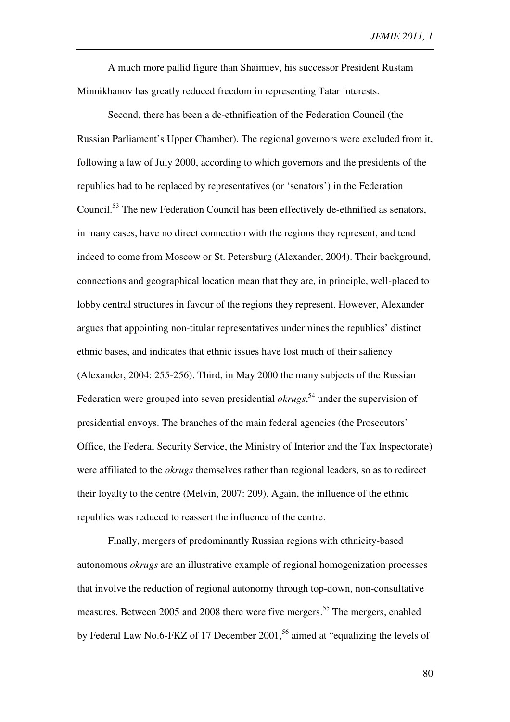A much more pallid figure than Shaimiev, his successor President Rustam Minnikhanov has greatly reduced freedom in representing Tatar interests.

Second, there has been a de-ethnification of the Federation Council (the Russian Parliament's Upper Chamber). The regional governors were excluded from it, following a law of July 2000, according to which governors and the presidents of the republics had to be replaced by representatives (or 'senators') in the Federation Council.<sup>53</sup> The new Federation Council has been effectively de-ethnified as senators, in many cases, have no direct connection with the regions they represent, and tend indeed to come from Moscow or St. Petersburg (Alexander, 2004). Their background, connections and geographical location mean that they are, in principle, well-placed to lobby central structures in favour of the regions they represent. However, Alexander argues that appointing non-titular representatives undermines the republics' distinct ethnic bases, and indicates that ethnic issues have lost much of their saliency (Alexander, 2004: 255-256). Third, in May 2000 the many subjects of the Russian Federation were grouped into seven presidential *okrugs*,<sup>54</sup> under the supervision of presidential envoys. The branches of the main federal agencies (the Prosecutors' Office, the Federal Security Service, the Ministry of Interior and the Tax Inspectorate) were affiliated to the *okrugs* themselves rather than regional leaders, so as to redirect their loyalty to the centre (Melvin, 2007: 209). Again, the influence of the ethnic republics was reduced to reassert the influence of the centre.

Finally, mergers of predominantly Russian regions with ethnicity-based autonomous *okrugs* are an illustrative example of regional homogenization processes that involve the reduction of regional autonomy through top-down, non-consultative measures. Between 2005 and 2008 there were five mergers.<sup>55</sup> The mergers, enabled by Federal Law No.6-FKZ of 17 December 2001,<sup>56</sup> aimed at "equalizing the levels of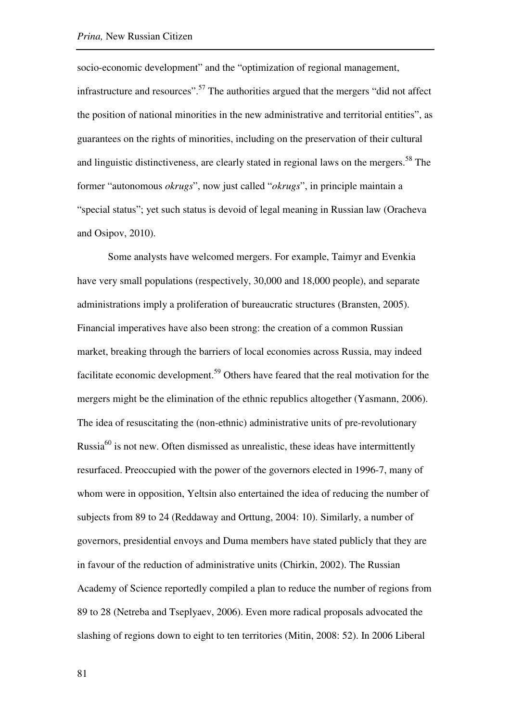socio-economic development" and the "optimization of regional management, infrastructure and resources".<sup>57</sup> The authorities argued that the mergers "did not affect the position of national minorities in the new administrative and territorial entities", as guarantees on the rights of minorities, including on the preservation of their cultural and linguistic distinctiveness, are clearly stated in regional laws on the mergers.<sup>58</sup> The former "autonomous *okrugs*", now just called "*okrugs*", in principle maintain a "special status"; yet such status is devoid of legal meaning in Russian law (Oracheva and Osipov, 2010).

Some analysts have welcomed mergers. For example, Taimyr and Evenkia have very small populations (respectively, 30,000 and 18,000 people), and separate administrations imply a proliferation of bureaucratic structures (Bransten, 2005). Financial imperatives have also been strong: the creation of a common Russian market, breaking through the barriers of local economies across Russia, may indeed facilitate economic development.<sup>59</sup> Others have feared that the real motivation for the mergers might be the elimination of the ethnic republics altogether (Yasmann, 2006). The idea of resuscitating the (non-ethnic) administrative units of pre-revolutionary Russia<sup>60</sup> is not new. Often dismissed as unrealistic, these ideas have intermittently resurfaced. Preoccupied with the power of the governors elected in 1996-7, many of whom were in opposition, Yeltsin also entertained the idea of reducing the number of subjects from 89 to 24 (Reddaway and Orttung, 2004: 10). Similarly, a number of governors, presidential envoys and Duma members have stated publicly that they are in favour of the reduction of administrative units (Chirkin, 2002). The Russian Academy of Science reportedly compiled a plan to reduce the number of regions from 89 to 28 (Netreba and Tseplyaev, 2006). Even more radical proposals advocated the slashing of regions down to eight to ten territories (Mitin, 2008: 52). In 2006 Liberal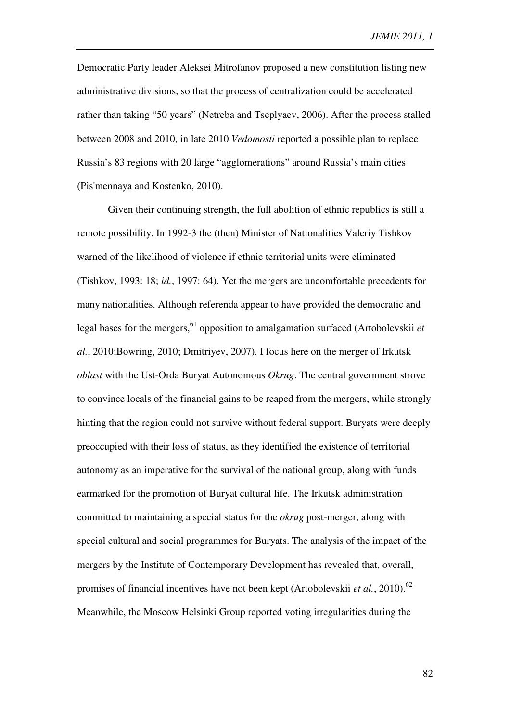Democratic Party leader Aleksei Mitrofanov proposed a new constitution listing new administrative divisions, so that the process of centralization could be accelerated rather than taking "50 years" (Netreba and Tseplyaev, 2006). After the process stalled between 2008 and 2010, in late 2010 *Vedomosti* reported a possible plan to replace Russia's 83 regions with 20 large "agglomerations" around Russia's main cities (Pis'mennaya and Kostenko, 2010).

Given their continuing strength, the full abolition of ethnic republics is still a remote possibility. In 1992-3 the (then) Minister of Nationalities Valeriy Tishkov warned of the likelihood of violence if ethnic territorial units were eliminated (Tishkov, 1993: 18; *id.*, 1997: 64). Yet the mergers are uncomfortable precedents for many nationalities. Although referenda appear to have provided the democratic and legal bases for the mergers,<sup>61</sup> opposition to amalgamation surfaced (Artobolevskii *et al.*, 2010;Bowring, 2010; Dmitriyev, 2007). I focus here on the merger of Irkutsk *oblast* with the Ust-Orda Buryat Autonomous *Okrug*. The central government strove to convince locals of the financial gains to be reaped from the mergers, while strongly hinting that the region could not survive without federal support. Buryats were deeply preoccupied with their loss of status, as they identified the existence of territorial autonomy as an imperative for the survival of the national group, along with funds earmarked for the promotion of Buryat cultural life. The Irkutsk administration committed to maintaining a special status for the *okrug* post-merger, along with special cultural and social programmes for Buryats. The analysis of the impact of the mergers by the Institute of Contemporary Development has revealed that, overall, promises of financial incentives have not been kept (Artobolevskii *et al.*, 2010).<sup>62</sup> Meanwhile, the Moscow Helsinki Group reported voting irregularities during the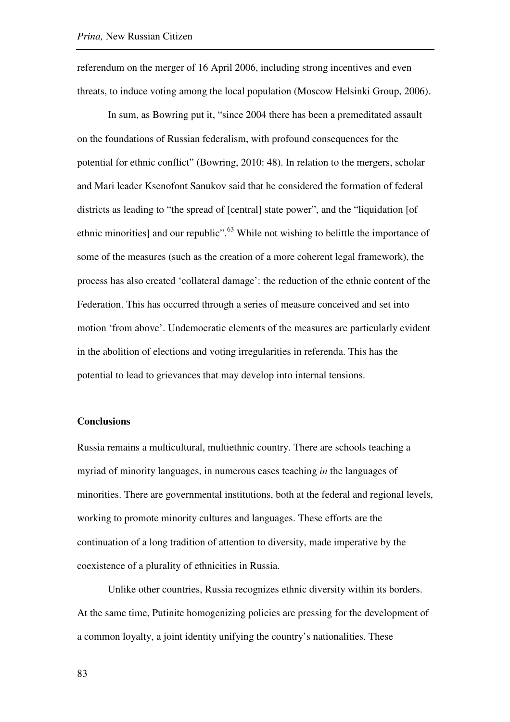referendum on the merger of 16 April 2006, including strong incentives and even threats, to induce voting among the local population (Moscow Helsinki Group, 2006).

In sum, as Bowring put it, "since 2004 there has been a premeditated assault on the foundations of Russian federalism, with profound consequences for the potential for ethnic conflict" (Bowring, 2010: 48). In relation to the mergers, scholar and Mari leader Ksenofont Sanukov said that he considered the formation of federal districts as leading to "the spread of [central] state power", and the "liquidation [of ethnic minorities] and our republic".<sup>63</sup> While not wishing to belittle the importance of some of the measures (such as the creation of a more coherent legal framework), the process has also created 'collateral damage': the reduction of the ethnic content of the Federation. This has occurred through a series of measure conceived and set into motion 'from above'. Undemocratic elements of the measures are particularly evident in the abolition of elections and voting irregularities in referenda. This has the potential to lead to grievances that may develop into internal tensions.

#### **Conclusions**

Russia remains a multicultural, multiethnic country. There are schools teaching a myriad of minority languages, in numerous cases teaching *in* the languages of minorities. There are governmental institutions, both at the federal and regional levels, working to promote minority cultures and languages. These efforts are the continuation of a long tradition of attention to diversity, made imperative by the coexistence of a plurality of ethnicities in Russia.

Unlike other countries, Russia recognizes ethnic diversity within its borders. At the same time, Putinite homogenizing policies are pressing for the development of a common loyalty, a joint identity unifying the country's nationalities. These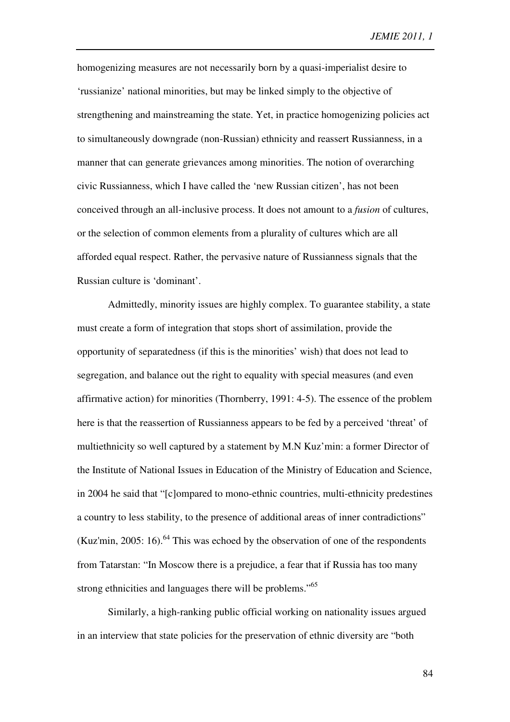homogenizing measures are not necessarily born by a quasi-imperialist desire to 'russianize' national minorities, but may be linked simply to the objective of strengthening and mainstreaming the state. Yet, in practice homogenizing policies act to simultaneously downgrade (non-Russian) ethnicity and reassert Russianness, in a manner that can generate grievances among minorities. The notion of overarching civic Russianness, which I have called the 'new Russian citizen', has not been conceived through an all-inclusive process. It does not amount to a *fusion* of cultures, or the selection of common elements from a plurality of cultures which are all afforded equal respect. Rather, the pervasive nature of Russianness signals that the Russian culture is 'dominant'.

Admittedly, minority issues are highly complex. To guarantee stability, a state must create a form of integration that stops short of assimilation, provide the opportunity of separatedness (if this is the minorities' wish) that does not lead to segregation, and balance out the right to equality with special measures (and even affirmative action) for minorities (Thornberry, 1991: 4-5). The essence of the problem here is that the reassertion of Russianness appears to be fed by a perceived 'threat' of multiethnicity so well captured by a statement by M.N Kuz'min: a former Director of the Institute of National Issues in Education of the Ministry of Education and Science, in 2004 he said that "[c]ompared to mono-ethnic countries, multi-ethnicity predestines a country to less stability, to the presence of additional areas of inner contradictions"  $(Kuz'min, 2005: 16)$ .<sup>64</sup> This was echoed by the observation of one of the respondents from Tatarstan: "In Moscow there is a prejudice, a fear that if Russia has too many strong ethnicities and languages there will be problems."<sup>65</sup>

Similarly, a high-ranking public official working on nationality issues argued in an interview that state policies for the preservation of ethnic diversity are "both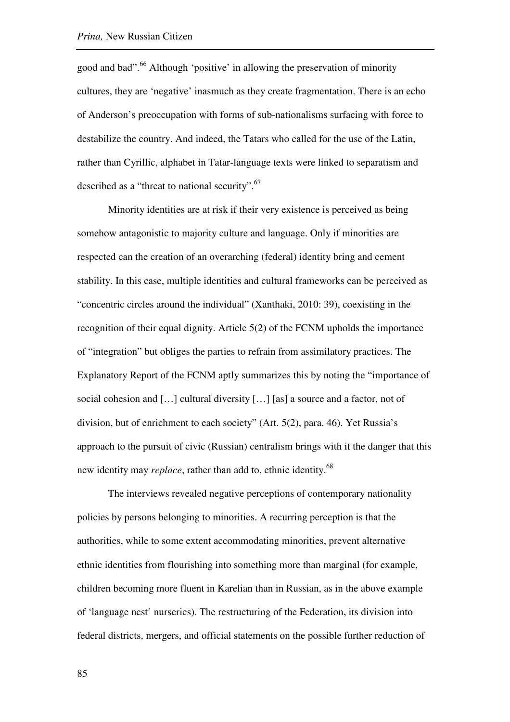good and bad".<sup>66</sup> Although 'positive' in allowing the preservation of minority cultures, they are 'negative' inasmuch as they create fragmentation. There is an echo of Anderson's preoccupation with forms of sub-nationalisms surfacing with force to destabilize the country. And indeed, the Tatars who called for the use of the Latin, rather than Cyrillic, alphabet in Tatar-language texts were linked to separatism and described as a "threat to national security".<sup>67</sup>

Minority identities are at risk if their very existence is perceived as being somehow antagonistic to majority culture and language. Only if minorities are respected can the creation of an overarching (federal) identity bring and cement stability. In this case, multiple identities and cultural frameworks can be perceived as "concentric circles around the individual" (Xanthaki, 2010: 39), coexisting in the recognition of their equal dignity. Article 5(2) of the FCNM upholds the importance of "integration" but obliges the parties to refrain from assimilatory practices. The Explanatory Report of the FCNM aptly summarizes this by noting the "importance of social cohesion and […] cultural diversity […] [as] a source and a factor, not of division, but of enrichment to each society" (Art. 5(2), para. 46). Yet Russia's approach to the pursuit of civic (Russian) centralism brings with it the danger that this new identity may *replace*, rather than add to, ethnic identity.<sup>68</sup>

The interviews revealed negative perceptions of contemporary nationality policies by persons belonging to minorities. A recurring perception is that the authorities, while to some extent accommodating minorities, prevent alternative ethnic identities from flourishing into something more than marginal (for example, children becoming more fluent in Karelian than in Russian, as in the above example of 'language nest' nurseries). The restructuring of the Federation, its division into federal districts, mergers, and official statements on the possible further reduction of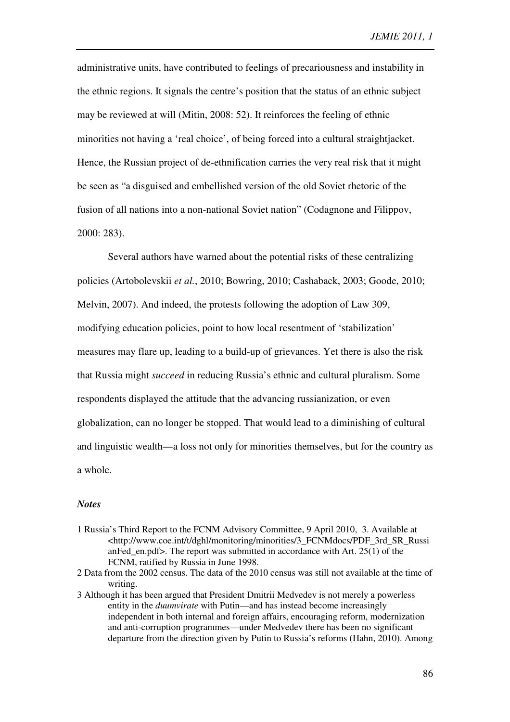administrative units, have contributed to feelings of precariousness and instability in the ethnic regions. It signals the centre's position that the status of an ethnic subject may be reviewed at will (Mitin, 2008: 52). It reinforces the feeling of ethnic minorities not having a 'real choice', of being forced into a cultural straightjacket. Hence, the Russian project of de-ethnification carries the very real risk that it might be seen as "a disguised and embellished version of the old Soviet rhetoric of the fusion of all nations into a non-national Soviet nation" (Codagnone and Filippov, 2000: 283).

Several authors have warned about the potential risks of these centralizing policies (Artobolevskii *et al.*, 2010; Bowring, 2010; Cashaback, 2003; Goode, 2010; Melvin, 2007). And indeed, the protests following the adoption of Law 309, modifying education policies, point to how local resentment of 'stabilization' measures may flare up, leading to a build-up of grievances. Yet there is also the risk that Russia might *succeed* in reducing Russia's ethnic and cultural pluralism. Some respondents displayed the attitude that the advancing russianization, or even globalization, can no longer be stopped. That would lead to a diminishing of cultural and linguistic wealth—a loss not only for minorities themselves, but for the country as a whole.

#### *Notes*

- 1 Russia's Third Report to the FCNM Advisory Committee, 9 April 2010, 3. Available at <http://www.coe.int/t/dghl/monitoring/minorities/3\_FCNMdocs/PDF\_3rd\_SR\_Russi anFed en.pdf>. The report was submitted in accordance with Art. 25(1) of the FCNM, ratified by Russia in June 1998.
- 2 Data from the 2002 census. The data of the 2010 census was still not available at the time of writing.
- 3 Although it has been argued that President Dmitrii Medvedev is not merely a powerless entity in the *duumvirate* with Putin—and has instead become increasingly independent in both internal and foreign affairs, encouraging reform, modernization and anti-corruption programmes—under Medvedev there has been no significant departure from the direction given by Putin to Russia's reforms (Hahn, 2010). Among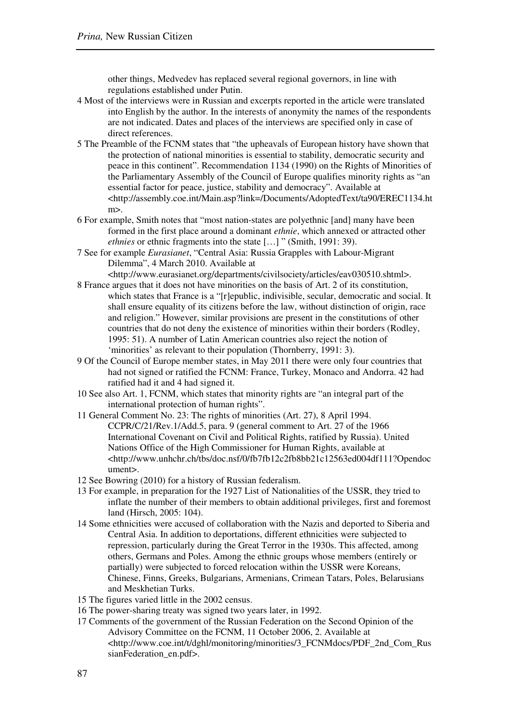other things, Medvedev has replaced several regional governors, in line with regulations established under Putin.

- 4 Most of the interviews were in Russian and excerpts reported in the article were translated into English by the author. In the interests of anonymity the names of the respondents are not indicated. Dates and places of the interviews are specified only in case of direct references.
- 5 The Preamble of the FCNM states that "the upheavals of European history have shown that the protection of national minorities is essential to stability, democratic security and peace in this continent". Recommendation 1134 (1990) on the Rights of Minorities of the Parliamentary Assembly of the Council of Europe qualifies minority rights as "an essential factor for peace, justice, stability and democracy". Available at <http://assembly.coe.int/Main.asp?link=/Documents/AdoptedText/ta90/EREC1134.ht  $m$  $>$ .
- 6 For example, Smith notes that "most nation-states are polyethnic [and] many have been formed in the first place around a dominant *ethnie*, which annexed or attracted other *ethnies* or ethnic fragments into the state […] " (Smith, 1991: 39).
- 7 See for example *Eurasianet*, "Central Asia: Russia Grapples with Labour-Migrant Dilemma", 4 March 2010. Available at

<http://www.eurasianet.org/departments/civilsociety/articles/eav030510.shtml>.

- 8 France argues that it does not have minorities on the basis of Art. 2 of its constitution, which states that France is a "[r]epublic, indivisible, secular, democratic and social. It shall ensure equality of its citizens before the law, without distinction of origin, race and religion." However, similar provisions are present in the constitutions of other countries that do not deny the existence of minorities within their borders (Rodley, 1995: 51). A number of Latin American countries also reject the notion of 'minorities' as relevant to their population (Thornberry, 1991: 3).
- 9 Of the Council of Europe member states, in May 2011 there were only four countries that had not signed or ratified the FCNM: France, Turkey, Monaco and Andorra. 42 had ratified had it and 4 had signed it.
- 10 See also Art. 1, FCNM, which states that minority rights are "an integral part of the international protection of human rights".
- 11 General Comment No. 23: The rights of minorities (Art. 27), 8 April 1994. CCPR/C/21/Rev.1/Add.5, para. 9 (general comment to Art. 27 of the 1966 International Covenant on Civil and Political Rights, ratified by Russia). United Nations Office of the High Commissioner for Human Rights, available at <http://www.unhchr.ch/tbs/doc.nsf/0/fb7fb12c2fb8bb21c12563ed004df111?Opendoc ument>.
- 12 See Bowring (2010) for a history of Russian federalism.
- 13 For example, in preparation for the 1927 List of Nationalities of the USSR, they tried to inflate the number of their members to obtain additional privileges, first and foremost land (Hirsch, 2005: 104).
- 14 Some ethnicities were accused of collaboration with the Nazis and deported to Siberia and Central Asia. In addition to deportations, different ethnicities were subjected to repression, particularly during the Great Terror in the 1930s. This affected, among others, Germans and Poles. Among the ethnic groups whose members (entirely or partially) were subjected to forced relocation within the USSR were Koreans, Chinese, Finns, Greeks, Bulgarians, Armenians, Crimean Tatars, Poles, Belarusians and Meskhetian Turks.
- 15 The figures varied little in the 2002 census.
- 16 The power-sharing treaty was signed two years later, in 1992.
- 17 Comments of the government of the Russian Federation on the Second Opinion of the Advisory Committee on the FCNM, 11 October 2006, 2. Available at <http://www.coe.int/t/dghl/monitoring/minorities/3\_FCNMdocs/PDF\_2nd\_Com\_Rus sianFederation\_en.pdf>.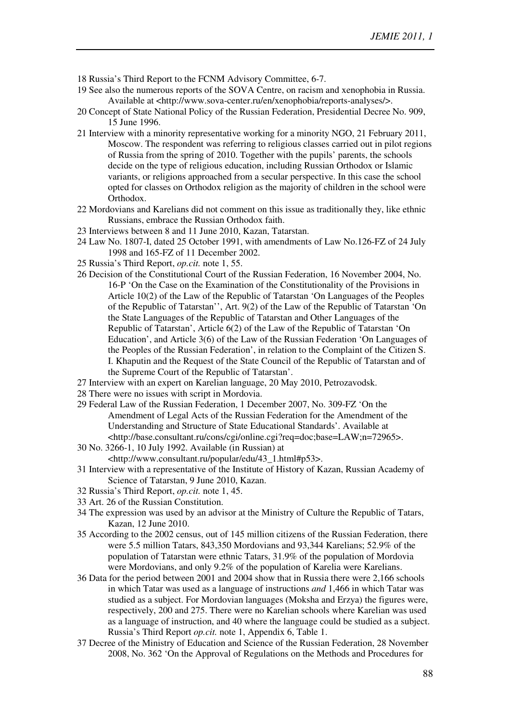18 Russia's Third Report to the FCNM Advisory Committee, 6-7.

- 19 See also the numerous reports of the SOVA Centre, on racism and xenophobia in Russia. Available at <http://www.sova-center.ru/en/xenophobia/reports-analyses/>.
- 20 Concept of State National Policy of the Russian Federation, Presidential Decree No. 909, 15 June 1996.
- 21 Interview with a minority representative working for a minority NGO, 21 February 2011, Moscow. The respondent was referring to religious classes carried out in pilot regions of Russia from the spring of 2010. Together with the pupils' parents, the schools decide on the type of religious education, including Russian Orthodox or Islamic variants, or religions approached from a secular perspective. In this case the school opted for classes on Orthodox religion as the majority of children in the school were Orthodox.
- 22 Mordovians and Karelians did not comment on this issue as traditionally they, like ethnic Russians, embrace the Russian Orthodox faith.
- 23 Interviews between 8 and 11 June 2010, Kazan, Tatarstan.
- 24 Law No. 1807-I, dated 25 October 1991, with amendments of Law No.126-FZ of 24 July 1998 and 165-FZ of 11 December 2002.
- 25 Russia's Third Report, *op.cit.* note 1, 55.
- 26 Decision of the Constitutional Court of the Russian Federation, 16 November 2004, No. 16-P 'On the Case on the Examination of the Constitutionality of the Provisions in Article 10(2) of the Law of the Republic of Tatarstan 'On Languages of the Peoples of the Republic of Tatarstan'', Art. 9(2) of the Law of the Republic of Tatarstan 'On the State Languages of the Republic of Tatarstan and Other Languages of the Republic of Tatarstan', Article 6(2) of the Law of the Republic of Tatarstan 'On Education', and Article 3(6) of the Law of the Russian Federation 'On Languages of the Peoples of the Russian Federation', in relation to the Complaint of the Citizen S. I. Khaputin and the Request of the State Council of the Republic of Tatarstan and of the Supreme Court of the Republic of Tatarstan'.
- 27 Interview with an expert on Karelian language, 20 May 2010, Petrozavodsk.
- 28 There were no issues with script in Mordovia.
- 29 Federal Law of the Russian Federation, 1 December 2007, No. 309-FZ 'On the Amendment of Legal Acts of the Russian Federation for the Amendment of the Understanding and Structure of State Educational Standards'. Available at <http://base.consultant.ru/cons/cgi/online.cgi?req=doc;base=LAW;n=72965>.
- 30 No. 3266-1, 10 July 1992. Available (in Russian) at <http://www.consultant.ru/popular/edu/43\_1.html#p53>.
- 31 Interview with a representative of the Institute of History of Kazan, Russian Academy of Science of Tatarstan, 9 June 2010, Kazan.
- 32 Russia's Third Report, *op.cit.* note 1, 45.
- 33 Art. 26 of the Russian Constitution.
- 34 The expression was used by an advisor at the Ministry of Culture the Republic of Tatars, Kazan, 12 June 2010.
- 35 According to the 2002 census, out of 145 million citizens of the Russian Federation, there were 5.5 million Tatars, 843,350 Mordovians and 93,344 Karelians; 52.9% of the population of Tatarstan were ethnic Tatars, 31.9% of the population of Mordovia were Mordovians, and only 9.2% of the population of Karelia were Karelians.
- 36 Data for the period between 2001 and 2004 show that in Russia there were 2,166 schools in which Tatar was used as a language of instructions *and* 1,466 in which Tatar was studied as a subject. For Mordovian languages (Moksha and Erzya) the figures were, respectively, 200 and 275. There were no Karelian schools where Karelian was used as a language of instruction, and 40 where the language could be studied as a subject. Russia's Third Report *op.cit.* note 1, Appendix 6, Table 1.
- 37 Decree of the Ministry of Education and Science of the Russian Federation, 28 November 2008, No. 362 'On the Approval of Regulations on the Methods and Procedures for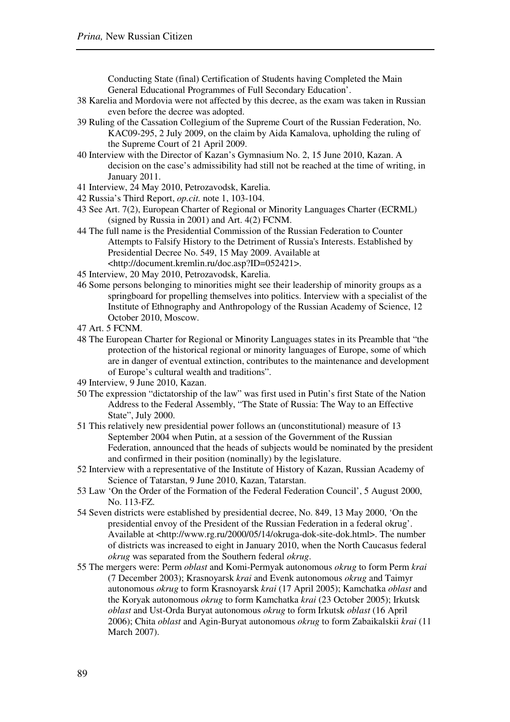Conducting State (final) Certification of Students having Completed the Main General Educational Programmes of Full Secondary Education'.

- 38 Karelia and Mordovia were not affected by this decree, as the exam was taken in Russian even before the decree was adopted.
- 39 Ruling of the Cassation Collegium of the Supreme Court of the Russian Federation, No. KAC09-295, 2 July 2009, on the claim by Aida Kamalova, upholding the ruling of the Supreme Court of 21 April 2009.
- 40 Interview with the Director of Kazan's Gymnasium No. 2, 15 June 2010, Kazan. A decision on the case's admissibility had still not be reached at the time of writing, in January 2011.
- 41 Interview, 24 May 2010, Petrozavodsk, Karelia.
- 42 Russia's Third Report, *op.cit.* note 1, 103-104.
- 43 See Art. 7(2), European Charter of Regional or Minority Languages Charter (ECRML) (signed by Russia in 2001) and Art. 4(2) FCNM.
- 44 The full name is the Presidential Commission of the Russian Federation to Counter Attempts to Falsify History to the Detriment of Russia's Interests. Established by Presidential Decree No. 549, 15 May 2009. Available at <http://document.kremlin.ru/doc.asp?ID=052421>.
- 45 Interview, 20 May 2010, Petrozavodsk, Karelia.
- 46 Some persons belonging to minorities might see their leadership of minority groups as a springboard for propelling themselves into politics. Interview with a specialist of the Institute of Ethnography and Anthropology of the Russian Academy of Science, 12 October 2010, Moscow.
- 47 Art. 5 FCNM.
- 48 The European Charter for Regional or Minority Languages states in its Preamble that "the protection of the historical regional or minority languages of Europe, some of which are in danger of eventual extinction, contributes to the maintenance and development of Europe's cultural wealth and traditions".
- 49 Interview, 9 June 2010, Kazan.
- 50 The expression "dictatorship of the law" was first used in Putin's first State of the Nation Address to the Federal Assembly, "The State of Russia: The Way to an Effective State", July 2000.
- 51 This relatively new presidential power follows an (unconstitutional) measure of 13 September 2004 when Putin, at a session of the Government of the Russian Federation, announced that the heads of subjects would be nominated by the president and confirmed in their position (nominally) by the legislature.
- 52 Interview with a representative of the Institute of History of Kazan, Russian Academy of Science of Tatarstan, 9 June 2010, Kazan, Tatarstan.
- 53 Law 'On the Order of the Formation of the Federal Federation Council', 5 August 2000, No. 113-FZ.
- 54 Seven districts were established by presidential decree, No. 849, 13 May 2000, 'On the presidential envoy of the President of the Russian Federation in a federal okrug'. Available at <http://www.rg.ru/2000/05/14/okruga-dok-site-dok.html>. The number of districts was increased to eight in January 2010, when the North Caucasus federal *okrug* was separated from the Southern federal *okrug*.
- 55 The mergers were: Perm *oblast* and Komi-Permyak autonomous *okrug* to form Perm *krai* (7 December 2003); Krasnoyarsk *krai* and Evenk autonomous *okrug* and Taimyr autonomous *okrug* to form Krasnoyarsk *krai* (17 April 2005); Kamchatka *oblast* and the Koryak autonomous *okrug* to form Kamchatka *krai* (23 October 2005); Irkutsk *oblast* and Ust-Orda Buryat autonomous *okrug* to form Irkutsk *oblast* (16 April 2006); Chita *oblast* and Agin-Buryat autonomous *okrug* to form Zabaikalskii *krai* (11 March 2007).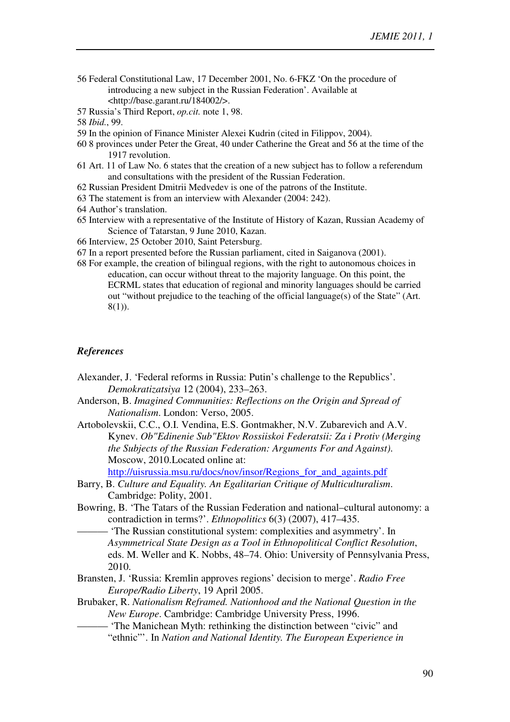- 56 Federal Constitutional Law, 17 December 2001, No. 6-FKZ 'On the procedure of introducing a new subject in the Russian Federation'. Available at <http://base.garant.ru/184002/>.
- 57 Russia's Third Report, *op.cit.* note 1, 98.
- 58 *Ibid.*, 99.
- 59 In the opinion of Finance Minister Alexei Kudrin (cited in Filippov, 2004).
- 60 8 provinces under Peter the Great, 40 under Catherine the Great and 56 at the time of the 1917 revolution.
- 61 Art. 11 of Law No. 6 states that the creation of a new subject has to follow a referendum and consultations with the president of the Russian Federation.
- 62 Russian President Dmitrii Medvedev is one of the patrons of the Institute.
- 63 The statement is from an interview with Alexander (2004: 242).
- 64 Author's translation.
- 65 Interview with a representative of the Institute of History of Kazan, Russian Academy of Science of Tatarstan, 9 June 2010, Kazan.
- 66 Interview, 25 October 2010, Saint Petersburg.
- 67 In a report presented before the Russian parliament, cited in Saiganova (2001).
- 68 For example, the creation of bilingual regions, with the right to autonomous choices in education, can occur without threat to the majority language. On this point, the ECRML states that education of regional and minority languages should be carried out "without prejudice to the teaching of the official language(s) of the State" (Art. 8(1)).

#### *References*

- Alexander, J. 'Federal reforms in Russia: Putin's challenge to the Republics'. *Demokratizatsiya* 12 (2004), 233–263.
- Anderson, B. *Imagined Communities: Reflections on the Origin and Spread of Nationalism*. London: Verso, 2005.
- Artobolevskii, C.C., O.I. Vendina, E.S. Gontmakher, N.V. Zubarevich and A.V. Kynev. *Ob"Edinenie Sub"Ektov Rossiiskoi Federatsii: Za i Protiv (Merging the Subjects of the Russian Federation: Arguments For and Against)*. Moscow, 2010.Located online at:

http://uisrussia.msu.ru/docs/nov/insor/Regions for and againts.pdf

- Barry, B. *Culture and Equality. An Egalitarian Critique of Multiculturalism*. Cambridge: Polity, 2001.
- Bowring, B. 'The Tatars of the Russian Federation and national–cultural autonomy: a contradiction in terms?'. *Ethnopolitics* 6(3) (2007), 417–435.
- 'The Russian constitutional system: complexities and asymmetry'. In *Asymmetrical State Design as a Tool in Ethnopolitical Conflict Resolution*, eds. M. Weller and K. Nobbs, 48–74. Ohio: University of Pennsylvania Press, 2010.
- Bransten, J. 'Russia: Kremlin approves regions' decision to merge'. *Radio Free Europe/Radio Liberty*, 19 April 2005.
- Brubaker, R. *Nationalism Reframed. Nationhood and the National Question in the New Europe*. Cambridge: Cambridge University Press, 1996.
	- 'The Manichean Myth: rethinking the distinction between "civic" and "ethnic"'. In *Nation and National Identity. The European Experience in*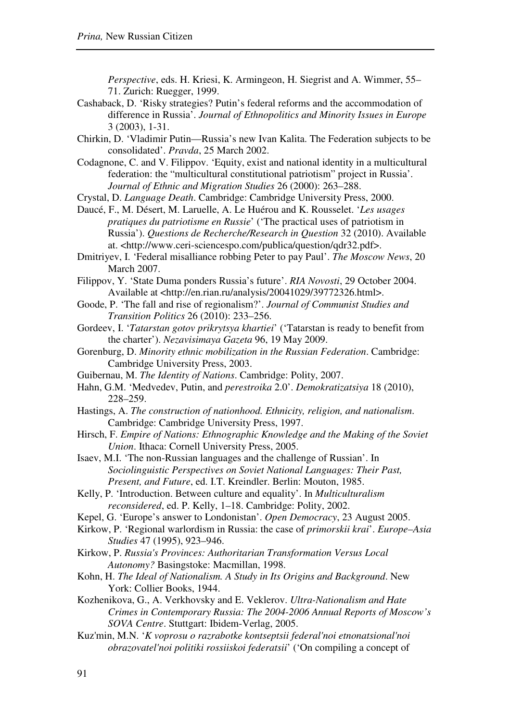*Perspective*, eds. H. Kriesi, K. Armingeon, H. Siegrist and A. Wimmer, 55– 71. Zurich: Ruegger, 1999.

- Cashaback, D. 'Risky strategies? Putin's federal reforms and the accommodation of difference in Russia'. *Journal of Ethnopolitics and Minority Issues in Europe* 3 (2003), 1-31.
- Chirkin, D. 'Vladimir Putin—Russia's new Ivan Kalita. The Federation subjects to be consolidated'. *Pravda*, 25 March 2002.
- Codagnone, C. and V. Filippov. 'Equity, exist and national identity in a multicultural federation: the "multicultural constitutional patriotism" project in Russia'. *Journal of Ethnic and Migration Studies* 26 (2000): 263–288.
- Crystal, D. *Language Death*. Cambridge: Cambridge University Press, 2000.
- Daucé, F., M. Désert, M. Laruelle, A. Le Huérou and K. Rousselet. '*Les usages pratiques du patriotisme en Russie*' ('The practical uses of patriotism in Russia'). *Questions de Recherche/Research in Question* 32 (2010). Available at. <http://www.ceri-sciencespo.com/publica/question/qdr32.pdf>.
- Dmitriyev, I. 'Federal misalliance robbing Peter to pay Paul'. *The Moscow News*, 20 March 2007.
- Filippov, Y. 'State Duma ponders Russia's future'. *RIA Novosti*, 29 October 2004. Available at <http://en.rian.ru/analysis/20041029/39772326.html>.
- Goode, P. 'The fall and rise of regionalism?'. *Journal of Communist Studies and Transition Politics* 26 (2010): 233–256.
- Gordeev, I. '*Tatarstan gotov prikrytsya khartiei*' ('Tatarstan is ready to benefit from the charter'). *Nezavisimaya Gazeta* 96, 19 May 2009.
- Gorenburg, D. *Minority ethnic mobilization in the Russian Federation*. Cambridge: Cambridge University Press, 2003.
- Guibernau, M. *The Identity of Nations*. Cambridge: Polity, 2007.
- Hahn, G.M. 'Medvedev, Putin, and *perestroika* 2.0'. *Demokratizatsiya* 18 (2010), 228–259.
- Hastings, A. *The construction of nationhood. Ethnicity, religion, and nationalism*. Cambridge: Cambridge University Press, 1997.
- Hirsch, F. *Empire of Nations: Ethnographic Knowledge and the Making of the Soviet Union*. Ithaca: Cornell University Press, 2005.
- Isaev, M.I. 'The non-Russian languages and the challenge of Russian'. In *Sociolinguistic Perspectives on Soviet National Languages: Their Past, Present, and Future*, ed. I.T. Kreindler. Berlin: Mouton, 1985.
- Kelly, P. 'Introduction. Between culture and equality'. In *Multiculturalism reconsidered*, ed. P. Kelly, 1–18. Cambridge: Polity, 2002.
- Kepel, G. 'Europe's answer to Londonistan'. *Open Democracy*, 23 August 2005.
- Kirkow, P. 'Regional warlordism in Russia: the case of *primorskii krai*'. *Europe*–*Asia Studies* 47 (1995), 923–946.
- Kirkow, P. *Russia's Provinces: Authoritarian Transformation Versus Local Autonomy?* Basingstoke: Macmillan, 1998.
- Kohn, H. *The Ideal of Nationalism. A Study in Its Origins and Background*. New York: Collier Books, 1944.
- Kozhenikova, G., A. Verkhovsky and E. Veklerov. *Ultra-Nationalism and Hate Crimes in Contemporary Russia: The 2004-2006 Annual Reports of Moscow's SOVA Centre*. Stuttgart: Ibidem-Verlag, 2005.
- Kuz'min, M.N. '*K voprosu o razrabotke kontseptsii federal'noi etnonatsional'noi obrazovatel'noi politiki rossiiskoi federatsii*' ('On compiling a concept of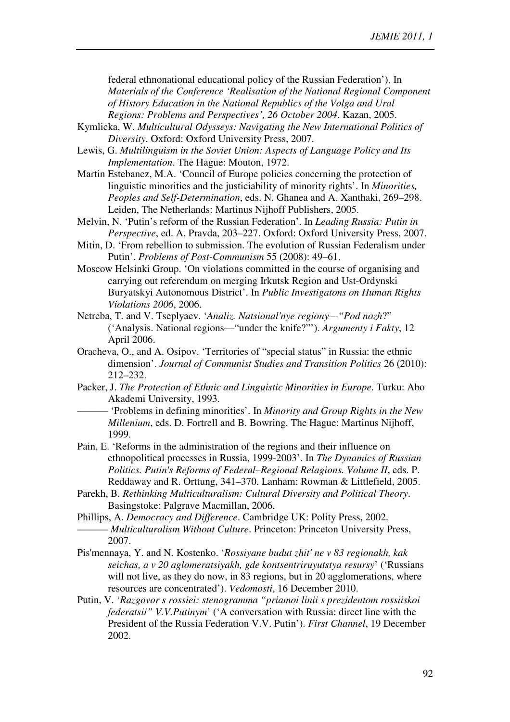federal ethnonational educational policy of the Russian Federation'). In *Materials of the Conference 'Realisation of the National Regional Component of History Education in the National Republics of the Volga and Ural Regions: Problems and Perspectives', 26 October 2004*. Kazan, 2005.

- Kymlicka, W. *Multicultural Odysseys: Navigating the New International Politics of Diversity*. Oxford: Oxford University Press, 2007.
- Lewis, G. *Multilinguism in the Soviet Union: Aspects of Language Policy and Its Implementation*. The Hague: Mouton, 1972.
- Martin Estebanez, M.A. 'Council of Europe policies concerning the protection of linguistic minorities and the justiciability of minority rights'. In *Minorities, Peoples and Self-Determination*, eds. N. Ghanea and A. Xanthaki, 269–298. Leiden, The Netherlands: Martinus Nijhoff Publishers, 2005.
- Melvin, N. 'Putin's reform of the Russian Federation'. In *Leading Russia: Putin in Perspective*, ed. A. Pravda, 203–227. Oxford: Oxford University Press, 2007.
- Mitin, D. 'From rebellion to submission. The evolution of Russian Federalism under Putin'. *Problems of Post-Communism* 55 (2008): 49–61.
- Moscow Helsinki Group. 'On violations committed in the course of organising and carrying out referendum on merging Irkutsk Region and Ust-Ordynski Buryatskyi Autonomous District'. In *Public Investigatons on Human Rights Violations 2006*, 2006.
- Netreba, T. and V. Tseplyaev. '*Analiz. Natsional'nye regiony—"Pod nozh*?" ('Analysis. National regions—"under the knife?"'). *Argumenty i Fakty*, 12 April 2006.
- Oracheva, O., and A. Osipov. 'Territories of "special status" in Russia: the ethnic dimension'. *Journal of Communist Studies and Transition Politics* 26 (2010): 212–232.
- Packer, J. *The Protection of Ethnic and Linguistic Minorities in Europe*. Turku: Abo Akademi University, 1993.
- ——— 'Problems in defining minorities'. In *Minority and Group Rights in the New Millenium*, eds. D. Fortrell and B. Bowring. The Hague: Martinus Nijhoff, 1999.
- Pain, E. 'Reforms in the administration of the regions and their influence on ethnopolitical processes in Russia, 1999-2003'. In *The Dynamics of Russian Politics. Putin's Reforms of Federal*–*Regional Relagions. Volume II*, eds. P. Reddaway and R. Orttung, 341–370. Lanham: Rowman & Littlefield, 2005.
- Parekh, B. *Rethinking Multiculturalism: Cultural Diversity and Political Theory*. Basingstoke: Palgrave Macmillan, 2006.
- Phillips, A. *Democracy and Difference*. Cambridge UK: Polity Press, 2002. ——— *Multiculturalism Without Culture*. Princeton: Princeton University Press, 2007.
- Pis'mennaya, Y. and N. Kostenko. '*Rossiyane budut zhit' ne v 83 regionakh, kak seichas, a v 20 aglomeratsiyakh, gde kontsentriruyutstya resursy*' ('Russians will not live, as they do now, in 83 regions, but in 20 agglomerations, where resources are concentrated'). *Vedomosti*, 16 December 2010.
- Putin, V. '*Razgovor s rossiei: stenogramma "priamoi linii s prezidentom rossiiskoi federatsii" V.V.Putinym*' ('A conversation with Russia: direct line with the President of the Russia Federation V.V. Putin'). *First Channel*, 19 December 2002.